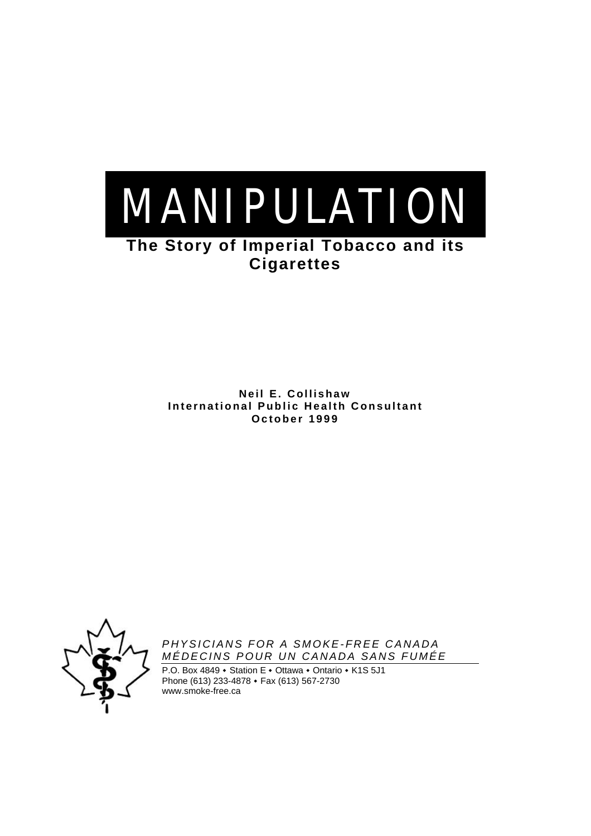

# **Cigarettes**

**Neil E. Collishaw International Public Health Consultant October 1999**



*PHYSICIANS FOR A SMOKE-FREE CANADA MÉDECINS POUR UN CANADA SANS FUMÉE*

P.O. Box 4849 • Station E • Ottawa • Ontario • K1S 5J1 Phone (613) 233-4878  $\cdot$  Fax (613) 567-2730 www.smoke-free.ca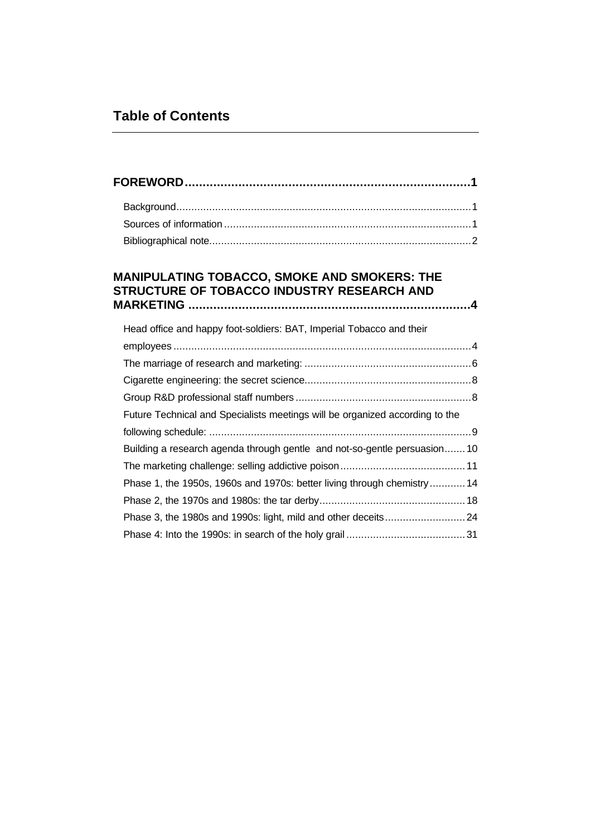# **Table of Contents**

## **MANIPULATING TOBACCO, SMOKE AND SMOKERS: THE STRUCTURE OF TOBACCO INDUSTRY RESEARCH AND MARKETING ...............................................................................4**

| Head office and happy foot-soldiers: BAT, Imperial Tobacco and their         |  |
|------------------------------------------------------------------------------|--|
|                                                                              |  |
|                                                                              |  |
|                                                                              |  |
|                                                                              |  |
| Future Technical and Specialists meetings will be organized according to the |  |
|                                                                              |  |
| Building a research agenda through gentle and not-so-gentle persuasion10     |  |
|                                                                              |  |
| Phase 1, the 1950s, 1960s and 1970s: better living through chemistry 14      |  |
|                                                                              |  |
|                                                                              |  |
|                                                                              |  |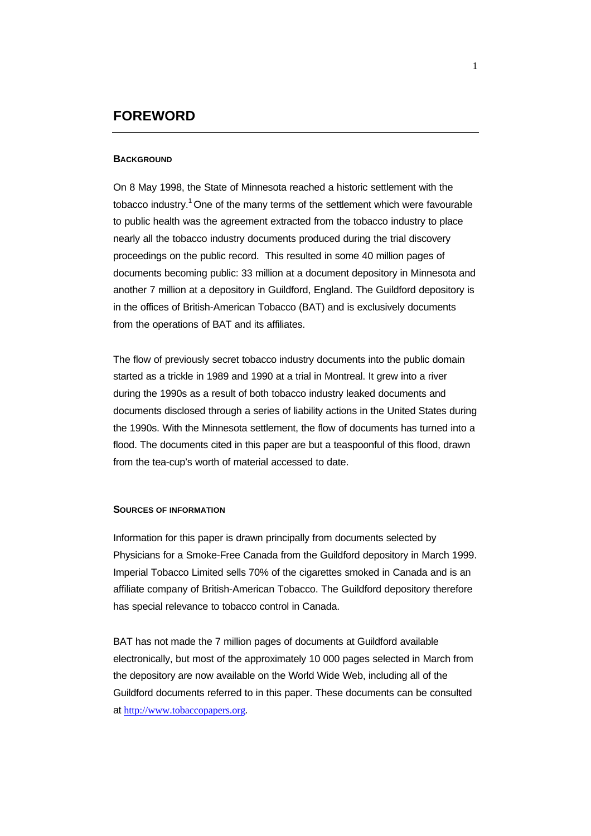## **FOREWORD**

## **BACKGROUND**

On 8 May 1998, the State of Minnesota reached a historic settlement with the tobacco industry.<sup>1</sup> One of the many terms of the settlement which were favourable to public health was the agreement extracted from the tobacco industry to place nearly all the tobacco industry documents produced during the trial discovery proceedings on the public record. This resulted in some 40 million pages of documents becoming public: 33 million at a document depository in Minnesota and another 7 million at a depository in Guildford, England. The Guildford depository is in the offices of British-American Tobacco (BAT) and is exclusively documents from the operations of BAT and its affiliates.

The flow of previously secret tobacco industry documents into the public domain started as a trickle in 1989 and 1990 at a trial in Montreal. It grew into a river during the 1990s as a result of both tobacco industry leaked documents and documents disclosed through a series of liability actions in the United States during the 1990s. With the Minnesota settlement, the flow of documents has turned into a flood. The documents cited in this paper are but a teaspoonful of this flood, drawn from the tea-cup's worth of material accessed to date.

#### **SOURCES OF INFORMATION**

Information for this paper is drawn principally from documents selected by Physicians for a Smoke-Free Canada from the Guildford depository in March 1999. Imperial Tobacco Limited sells 70% of the cigarettes smoked in Canada and is an affiliate company of British-American Tobacco. The Guildford depository therefore has special relevance to tobacco control in Canada.

BAT has not made the 7 million pages of documents at Guildford available electronically, but most of the approximately 10 000 pages selected in March from the depository are now available on the World Wide Web, including all of the Guildford documents referred to in this paper. These documents can be consulted at http://www.tobaccopapers.org.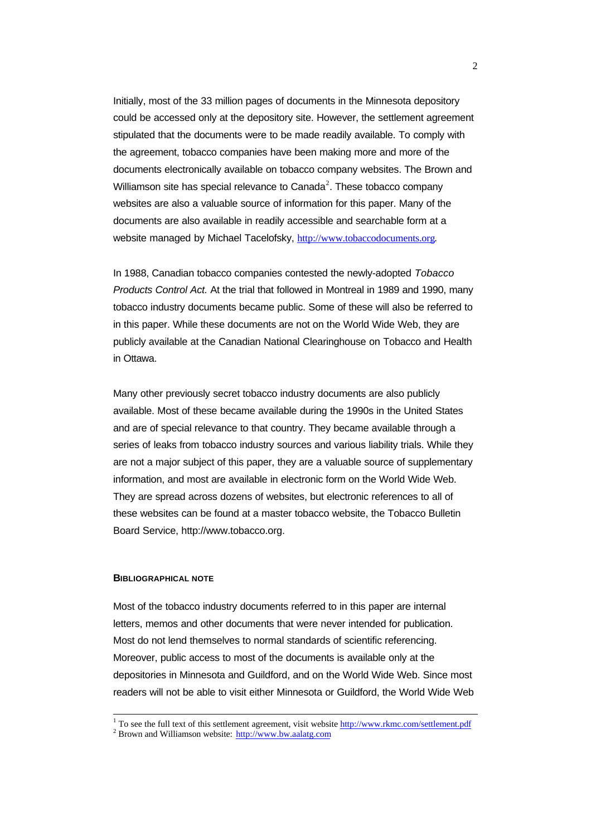Initially, most of the 33 million pages of documents in the Minnesota depository could be accessed only at the depository site. However, the settlement agreement stipulated that the documents were to be made readily available. To comply with the agreement, tobacco companies have been making more and more of the documents electronically available on tobacco company websites. The Brown and Williamson site has special relevance to Canada<sup>2</sup>. These tobacco company websites are also a valuable source of information for this paper. Many of the documents are also available in readily accessible and searchable form at a website managed by Michael Tacelofsky, http://www.tobaccodocuments.org.

In 1988, Canadian tobacco companies contested the newly-adopted *Tobacco Products Control Act.* At the trial that followed in Montreal in 1989 and 1990, many tobacco industry documents became public. Some of these will also be referred to in this paper. While these documents are not on the World Wide Web, they are publicly available at the Canadian National Clearinghouse on Tobacco and Health in Ottawa.

Many other previously secret tobacco industry documents are also publicly available. Most of these became available during the 1990s in the United States and are of special relevance to that country. They became available through a series of leaks from tobacco industry sources and various liability trials. While they are not a major subject of this paper, they are a valuable source of supplementary information, and most are available in electronic form on the World Wide Web. They are spread across dozens of websites, but electronic references to all of these websites can be found at a master tobacco website, the Tobacco Bulletin Board Service, http://www.tobacco.org.

## **BIBLIOGRAPHICAL NOTE**

Most of the tobacco industry documents referred to in this paper are internal letters, memos and other documents that were never intended for publication. Most do not lend themselves to normal standards of scientific referencing. Moreover, public access to most of the documents is available only at the depositories in Minnesota and Guildford, and on the World Wide Web. Since most readers will not be able to visit either Minnesota or Guildford, the World Wide Web

<sup>1</sup> To see the full text of this settlement agreement, visit website http://www.rkmc.com/settlement.pdf

<sup>&</sup>lt;sup>2</sup> Brown and Williamson website: http://www.bw.aalatg.com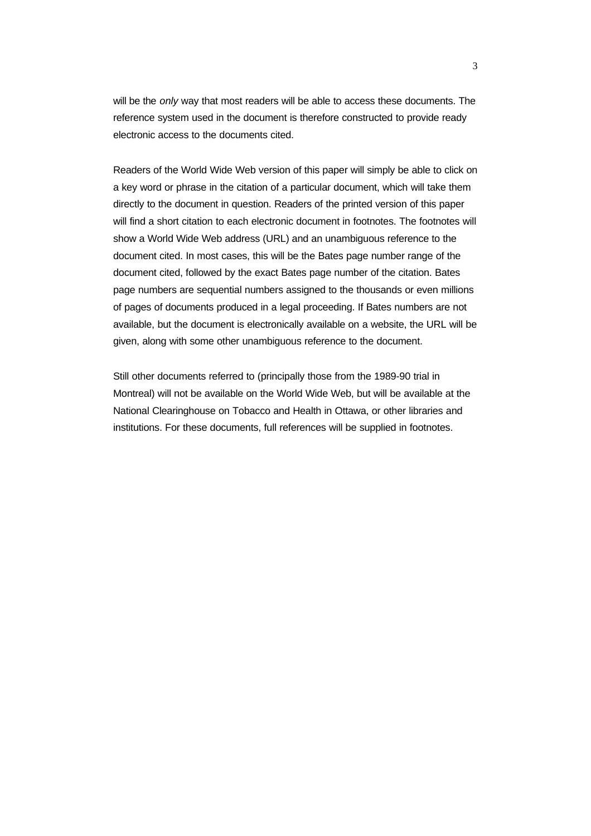will be the *only* way that most readers will be able to access these documents. The reference system used in the document is therefore constructed to provide ready electronic access to the documents cited.

Readers of the World Wide Web version of this paper will simply be able to click on a key word or phrase in the citation of a particular document, which will take them directly to the document in question. Readers of the printed version of this paper will find a short citation to each electronic document in footnotes. The footnotes will show a World Wide Web address (URL) and an unambiguous reference to the document cited. In most cases, this will be the Bates page number range of the document cited, followed by the exact Bates page number of the citation. Bates page numbers are sequential numbers assigned to the thousands or even millions of pages of documents produced in a legal proceeding. If Bates numbers are not available, but the document is electronically available on a website, the URL will be given, along with some other unambiguous reference to the document.

Still other documents referred to (principally those from the 1989-90 trial in Montreal) will not be available on the World Wide Web, but will be available at the National Clearinghouse on Tobacco and Health in Ottawa, or other libraries and institutions. For these documents, full references will be supplied in footnotes.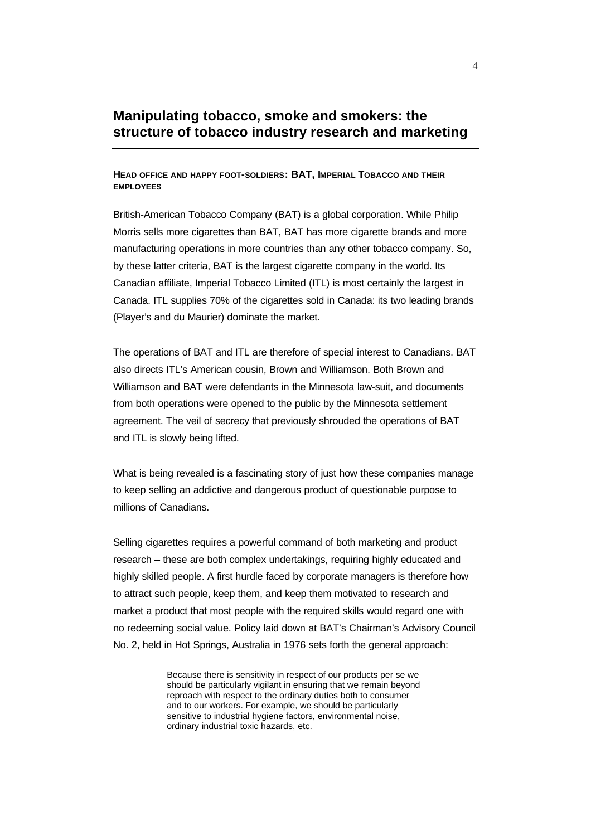## **Manipulating tobacco, smoke and smokers: the structure of tobacco industry research and marketing**

## **HEAD OFFICE AND HAPPY FOOT-SOLDIERS: BAT, IMPERIAL TOBACCO AND THEIR EMPLOYEES**

British-American Tobacco Company (BAT) is a global corporation. While Philip Morris sells more cigarettes than BAT, BAT has more cigarette brands and more manufacturing operations in more countries than any other tobacco company. So, by these latter criteria, BAT is the largest cigarette company in the world. Its Canadian affiliate, Imperial Tobacco Limited (ITL) is most certainly the largest in Canada. ITL supplies 70% of the cigarettes sold in Canada: its two leading brands (Player's and du Maurier) dominate the market.

The operations of BAT and ITL are therefore of special interest to Canadians. BAT also directs ITL's American cousin, Brown and Williamson. Both Brown and Williamson and BAT were defendants in the Minnesota law-suit, and documents from both operations were opened to the public by the Minnesota settlement agreement. The veil of secrecy that previously shrouded the operations of BAT and ITL is slowly being lifted.

What is being revealed is a fascinating story of just how these companies manage to keep selling an addictive and dangerous product of questionable purpose to millions of Canadians.

Selling cigarettes requires a powerful command of both marketing and product research – these are both complex undertakings, requiring highly educated and highly skilled people. A first hurdle faced by corporate managers is therefore how to attract such people, keep them, and keep them motivated to research and market a product that most people with the required skills would regard one with no redeeming social value. Policy laid down at BAT's Chairman's Advisory Council No. 2, held in Hot Springs, Australia in 1976 sets forth the general approach:

> Because there is sensitivity in respect of our products per se we should be particularly vigilant in ensuring that we remain beyond reproach with respect to the ordinary duties both to consumer and to our workers. For example, we should be particularly sensitive to industrial hygiene factors, environmental noise, ordinary industrial toxic hazards, etc.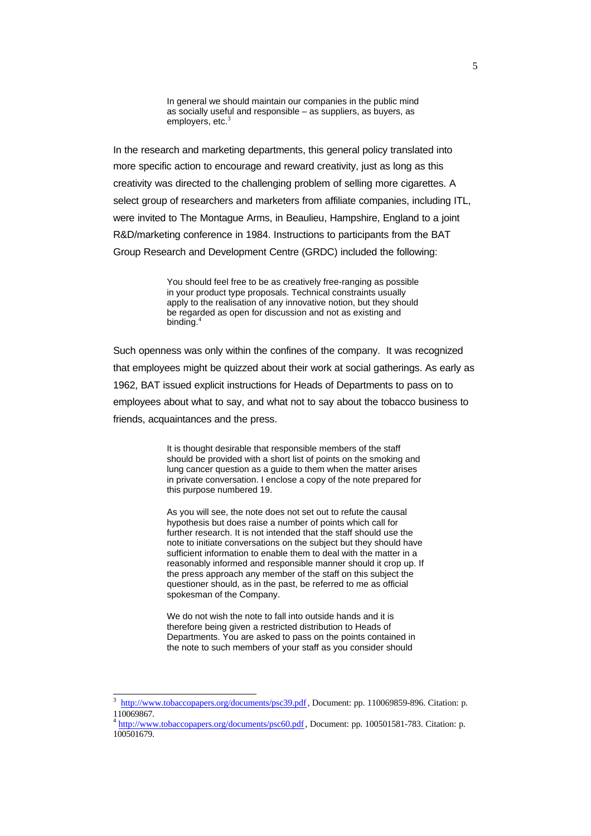In general we should maintain our companies in the public mind as socially useful and responsible – as suppliers, as buyers, as employers, etc.<sup>3</sup>

In the research and marketing departments, this general policy translated into more specific action to encourage and reward creativity, just as long as this creativity was directed to the challenging problem of selling more cigarettes. A select group of researchers and marketers from affiliate companies, including ITL, were invited to The Montague Arms, in Beaulieu, Hampshire, England to a joint R&D/marketing conference in 1984. Instructions to participants from the BAT Group Research and Development Centre (GRDC) included the following:

> You should feel free to be as creatively free-ranging as possible in your product type proposals. Technical constraints usually apply to the realisation of any innovative notion, but they should be regarded as open for discussion and not as existing and binding.<sup>4</sup>

Such openness was only within the confines of the company. It was recognized that employees might be quizzed about their work at social gatherings. As early as 1962, BAT issued explicit instructions for Heads of Departments to pass on to employees about what to say, and what not to say about the tobacco business to friends, acquaintances and the press.

> It is thought desirable that responsible members of the staff should be provided with a short list of points on the smoking and lung cancer question as a guide to them when the matter arises in private conversation. I enclose a copy of the note prepared for this purpose numbered 19.

> As you will see, the note does not set out to refute the causal hypothesis but does raise a number of points which call for further research. It is not intended that the staff should use the note to initiate conversations on the subject but they should have sufficient information to enable them to deal with the matter in a reasonably informed and responsible manner should it crop up. If the press approach any member of the staff on this subject the questioner should, as in the past, be referred to me as official spokesman of the Company.

We do not wish the note to fall into outside hands and it is therefore being given a restricted distribution to Heads of Departments. You are asked to pass on the points contained in the note to such members of your staff as you consider should

<sup>3</sup> http://www.tobaccopapers.org/documents/psc39.pdf, Document: pp. 110069859-896. Citation: p. 110069867.

<sup>&</sup>lt;sup>4</sup> http://www.tobaccopapers.org/documents/psc60.pdf, Document: pp. 100501581-783. Citation: p. 100501679.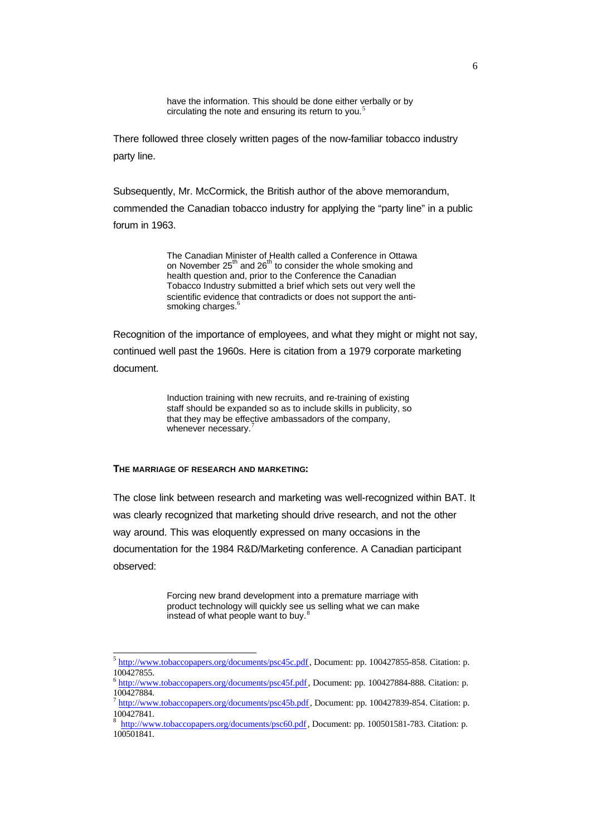have the information. This should be done either verbally or by circulating the note and ensuring its return to you.<sup>5</sup>

There followed three closely written pages of the now-familiar tobacco industry party line.

Subsequently, Mr. McCormick, the British author of the above memorandum,

commended the Canadian tobacco industry for applying the "party line" in a public forum in 1963.

> The Canadian Minister of Health called a Conference in Ottawa on November 25<sup>th</sup> and 26<sup>th</sup> to consider the whole smoking and health question and, prior to the Conference the Canadian Tobacco Industry submitted a brief which sets out very well the scientific evidence that contradicts or does not support the antismoking charges.<sup>6</sup>

Recognition of the importance of employees, and what they might or might not say, continued well past the 1960s. Here is citation from a 1979 corporate marketing document.

> Induction training with new recruits, and re-training of existing staff should be expanded so as to include skills in publicity, so that they may be effective ambassadors of the company, whenever necessary.

## **THE MARRIAGE OF RESEARCH AND MARKETING:**

l

The close link between research and marketing was well-recognized within BAT. It was clearly recognized that marketing should drive research, and not the other way around. This was eloquently expressed on many occasions in the documentation for the 1984 R&D/Marketing conference. A Canadian participant observed:

> Forcing new brand development into a premature marriage with product technology will quickly see us selling what we can make instead of what people want to buy. $8$

<sup>&</sup>lt;sup>5</sup> http://www.tobaccopapers.org/documents/psc45c.pdf, Document: pp. 100427855-858. Citation: p. 100427855.

 $^6$  http://www.tobaccopapers.org/documents/psc45f.pdf, Document: pp. 100427884-888. Citation: p. 100427884.

<sup>&</sup>lt;sup>7</sup> http://www.tobaccopapers.org/documents/psc45b.pdf, Document: pp. 100427839-854. Citation: p. 100427841.

<sup>&</sup>lt;sup>8</sup> http://www.tobaccopapers.org/documents/psc60.pdf, Document: pp. 100501581-783. Citation: p. 100501841.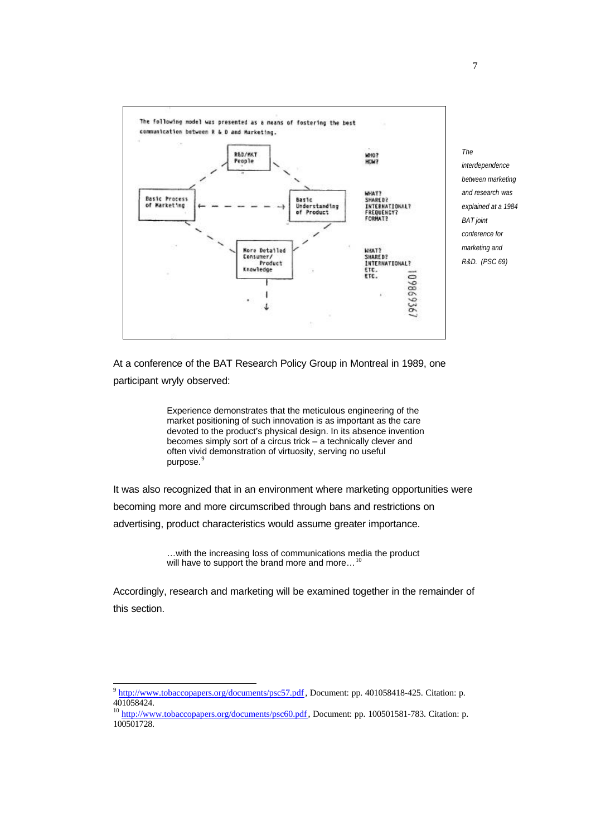

*The interdependence between marketing and research was explained at a 1984 BAT joint conference for marketing and R&D. (PSC 69)*

At a conference of the BAT Research Policy Group in Montreal in 1989, one participant wryly observed:

> Experience demonstrates that the meticulous engineering of the market positioning of such innovation is as important as the care devoted to the product's physical design. In its absence invention becomes simply sort of a circus trick – a technically clever and often vivid demonstration of virtuosity, serving no useful purpose.<sup>9</sup>

It was also recognized that in an environment where marketing opportunities were becoming more and more circumscribed through bans and restrictions on advertising, product characteristics would assume greater importance.

> …with the increasing loss of communications media the product will have to support the brand more and more...

Accordingly, research and marketing will be examined together in the remainder of this section.

<sup>&</sup>lt;sup>9</sup> http://www.tobaccopapers.org/documents/psc57.pdf, Document: pp. 401058418-425. Citation: p. 401058424.

<sup>&</sup>lt;sup>10</sup> http://www.tobaccopapers.org/documents/psc60.pdf, Document: pp. 100501581-783. Citation: p. 100501728.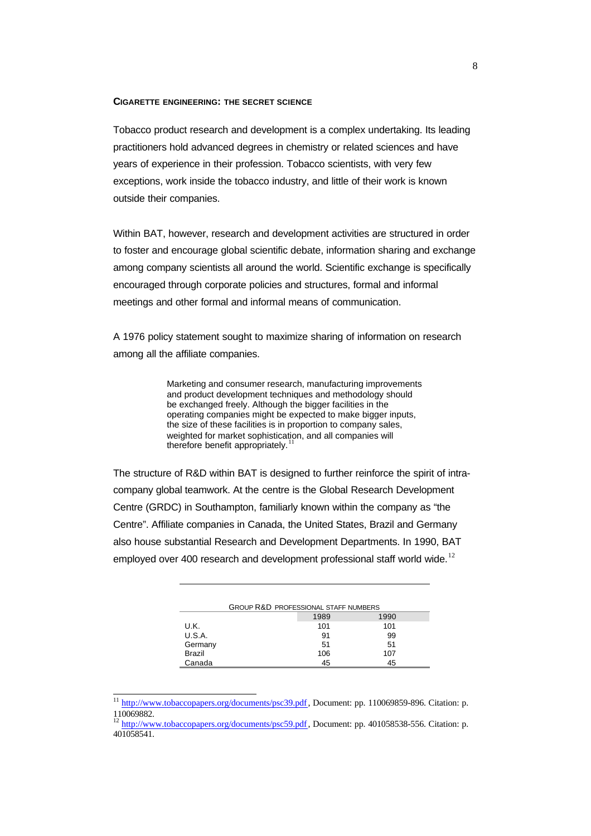## **CIGARETTE ENGINEERING: THE SECRET SCIENCE**

Tobacco product research and development is a complex undertaking. Its leading practitioners hold advanced degrees in chemistry or related sciences and have years of experience in their profession. Tobacco scientists, with very few exceptions, work inside the tobacco industry, and little of their work is known outside their companies.

Within BAT, however, research and development activities are structured in order to foster and encourage global scientific debate, information sharing and exchange among company scientists all around the world. Scientific exchange is specifically encouraged through corporate policies and structures, formal and informal meetings and other formal and informal means of communication.

A 1976 policy statement sought to maximize sharing of information on research among all the affiliate companies.

> Marketing and consumer research, manufacturing improvements and product development techniques and methodology should be exchanged freely. Although the bigger facilities in the operating companies might be expected to make bigger inputs, the size of these facilities is in proportion to company sales, weighted for market sophistication, and all companies will therefore benefit appropriately.

The structure of R&D within BAT is designed to further reinforce the spirit of intracompany global teamwork. At the centre is the Global Research Development Centre (GRDC) in Southampton, familiarly known within the company as "the Centre". Affiliate companies in Canada, the United States, Brazil and Germany also house substantial Research and Development Departments. In 1990, BAT employed over 400 research and development professional staff world wide.<sup>12</sup>

| <b>GROUP R&amp;D PROFESSIONAL STAFF NUMBERS</b> |      |  |  |
|-------------------------------------------------|------|--|--|
| 1989                                            | 1990 |  |  |
| 101                                             | 101  |  |  |
| 91                                              | 99   |  |  |
| 51                                              | 51   |  |  |
| 106                                             | 107  |  |  |
| 45                                              | 45   |  |  |
|                                                 |      |  |  |

<sup>&</sup>lt;sup>11</sup> http://www.tobaccopapers.org/documents/psc39.pdf, Document: pp. 110069859-896. Citation: p. 110069882.

<sup>&</sup>lt;sup>12</sup> http://www.tobaccopapers.org/documents/psc59.pdf, Document: pp. 401058538-556. Citation: p. 401058541.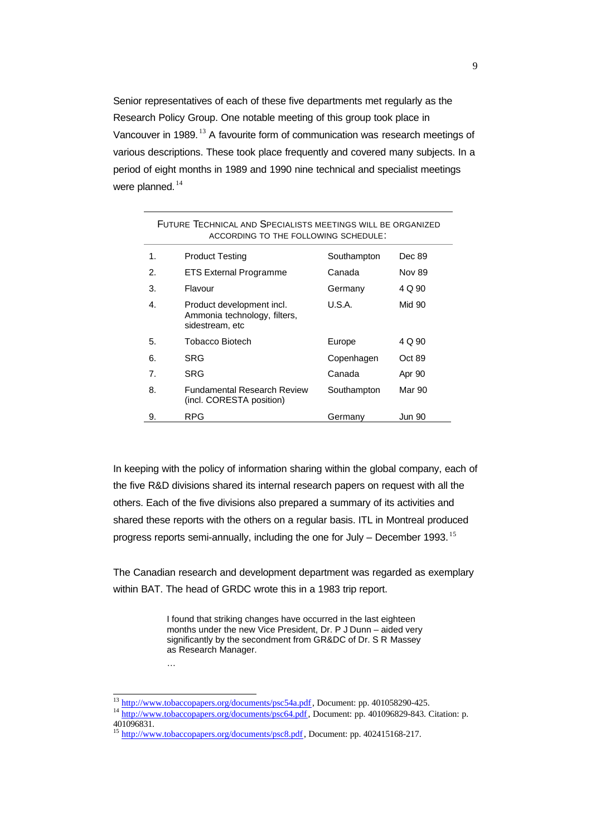Senior representatives of each of these five departments met regularly as the Research Policy Group. One notable meeting of this group took place in Vancouver in 1989.<sup>13</sup> A favourite form of communication was research meetings of various descriptions. These took place frequently and covered many subjects. In a period of eight months in 1989 and 1990 nine technical and specialist meetings were planned.<sup>14</sup>

| FUTURE TECHNICAL AND SPECIALISTS MEETINGS WILL BE ORGANIZED<br>ACCORDING TO THE FOLLOWING SCHEDULE: |                                                                              |             |               |  |  |
|-----------------------------------------------------------------------------------------------------|------------------------------------------------------------------------------|-------------|---------------|--|--|
| 1.                                                                                                  | <b>Product Testing</b>                                                       | Southampton | Dec 89        |  |  |
| 2.                                                                                                  | <b>ETS External Programme</b>                                                | Canada      | <b>Nov 89</b> |  |  |
| 3.                                                                                                  | Flavour                                                                      | Germany     | 4 Q 90        |  |  |
| 4.                                                                                                  | Product development incl.<br>Ammonia technology, filters,<br>sidestream, etc | U.S.A.      | Mid 90        |  |  |
| 5.                                                                                                  | Tobacco Biotech                                                              | Europe      | 4 Q 90        |  |  |
| 6.                                                                                                  | SRG                                                                          | Copenhagen  | Oct 89        |  |  |
| $\mathbf{7}$                                                                                        | SRG                                                                          | Canada      | Apr 90        |  |  |
| 8.                                                                                                  | <b>Fundamental Research Review</b><br>(incl. CORESTA position)               | Southampton | Mar 90        |  |  |
| 9.                                                                                                  | <b>RPG</b>                                                                   | Germany     | Jun 90        |  |  |

In keeping with the policy of information sharing within the global company, each of the five R&D divisions shared its internal research papers on request with all the others. Each of the five divisions also prepared a summary of its activities and shared these reports with the others on a regular basis. ITL in Montreal produced progress reports semi-annually, including the one for July – December 1993.<sup>15</sup>

The Canadian research and development department was regarded as exemplary within BAT. The head of GRDC wrote this in a 1983 trip report.

> I found that striking changes have occurred in the last eighteen months under the new Vice President, Dr. P J Dunn – aided very significantly by the secondment from GR&DC of Dr. S R Massey as Research Manager.

<sup>13</sup> http://www.tobaccopapers.org/documents/psc54a.pdf, Document: pp. 401058290-425.

…

<sup>&</sup>lt;sup>14</sup> http://www.tobaccopapers.org/documents/psc64.pdf, Document: pp. 401096829-843. Citation: p. 401096831.

<sup>15</sup> http://www.tobaccopapers.org/documents/psc8.pdf, Document: pp. 402415168-217.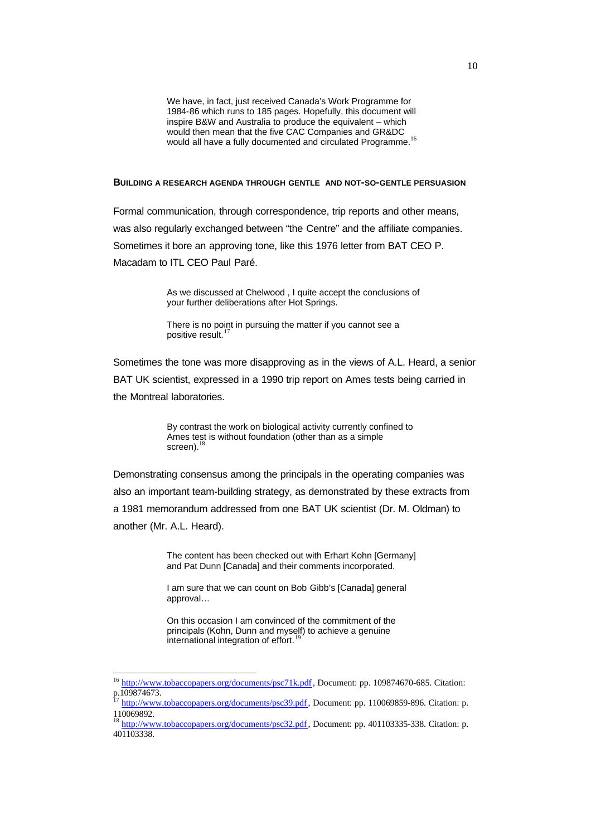We have, in fact, just received Canada's Work Programme for 1984-86 which runs to 185 pages. Hopefully, this document will inspire B&W and Australia to produce the equivalent – which would then mean that the five CAC Companies and GR&DC would all have a fully documented and circulated Programme.<sup>16</sup>

#### **BUILDING A RESEARCH AGENDA THROUGH GENTLE AND NOT-SO-GENTLE PERSUASION**

Formal communication, through correspondence, trip reports and other means, was also regularly exchanged between "the Centre" and the affiliate companies. Sometimes it bore an approving tone, like this 1976 letter from BAT CEO P. Macadam to ITL CEO Paul Paré.

> As we discussed at Chelwood , I quite accept the conclusions of your further deliberations after Hot Springs.

There is no point in pursuing the matter if you cannot see a positive result. $17$ 

Sometimes the tone was more disapproving as in the views of A.L. Heard, a senior BAT UK scientist, expressed in a 1990 trip report on Ames tests being carried in the Montreal laboratories.

> By contrast the work on biological activity currently confined to Ames test is without foundation (other than as a simple screen).<sup>18</sup>

Demonstrating consensus among the principals in the operating companies was also an important team-building strategy, as demonstrated by these extracts from a 1981 memorandum addressed from one BAT UK scientist (Dr. M. Oldman) to another (Mr. A.L. Heard).

> The content has been checked out with Erhart Kohn [Germany] and Pat Dunn [Canada] and their comments incorporated.

I am sure that we can count on Bob Gibb's [Canada] general approval…

On this occasion I am convinced of the commitment of the principals (Kohn, Dunn and myself) to achieve a genuine international integration of effort.

<sup>&</sup>lt;sup>16</sup> http://www.tobaccopapers.org/documents/psc71k.pdf, Document: pp. 109874670-685. Citation: p.109874673.

http://www.tobaccopapers.org/documents/psc39.pdf, Document: pp. 110069859-896. Citation: p. 110069892.

<sup>&</sup>lt;sup>18</sup> http://www.tobaccopapers.org/documents/psc32.pdf, Document: pp. 401103335-338. Citation: p. 401103338.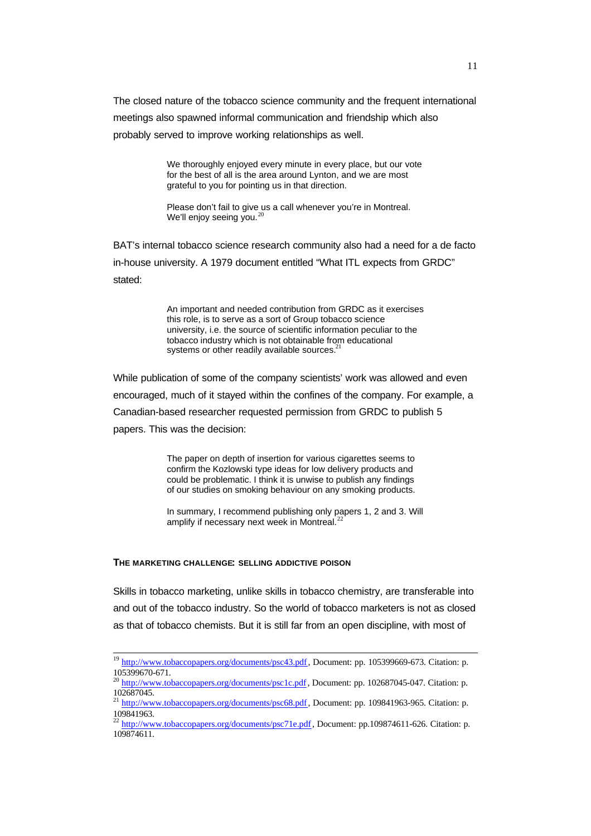The closed nature of the tobacco science community and the frequent international meetings also spawned informal communication and friendship which also probably served to improve working relationships as well.

> We thoroughly enjoyed every minute in every place, but our vote for the best of all is the area around Lynton, and we are most grateful to you for pointing us in that direction.

Please don't fail to give us a call whenever you're in Montreal. We'll enjoy seeing you. $2$ 

BAT's internal tobacco science research community also had a need for a de facto in-house university. A 1979 document entitled "What ITL expects from GRDC" stated:

> An important and needed contribution from GRDC as it exercises this role, is to serve as a sort of Group tobacco science university, i.e. the source of scientific information peculiar to the tobacco industry which is not obtainable from educational systems or other readily available sources.<sup>21</sup>

While publication of some of the company scientists' work was allowed and even encouraged, much of it stayed within the confines of the company. For example, a Canadian-based researcher requested permission from GRDC to publish 5 papers. This was the decision:

> The paper on depth of insertion for various cigarettes seems to confirm the Kozlowski type ideas for low delivery products and could be problematic. I think it is unwise to publish any findings of our studies on smoking behaviour on any smoking products.

In summary, I recommend publishing only papers 1, 2 and 3. Will amplify if necessary next week in Montreal.<sup>2</sup>

#### **THE MARKETING CHALLENGE: SELLING ADDICTIVE POISON**

l

Skills in tobacco marketing, unlike skills in tobacco chemistry, are transferable into and out of the tobacco industry. So the world of tobacco marketers is not as closed as that of tobacco chemists. But it is still far from an open discipline, with most of

<sup>&</sup>lt;sup>19</sup> http://www.tobaccopapers.org/documents/psc43.pdf, Document: pp. 105399669-673. Citation: p. 105399670-671.

<sup>&</sup>lt;sup>20</sup> http://www.tobaccopapers.org/documents/psc1c.pdf, Document: pp. 102687045-047. Citation: p. 102687045.

<sup>&</sup>lt;sup>21</sup> http://www.tobaccopapers.org/documents/psc68.pdf, Document: pp. 109841963-965. Citation: p. 109841963.

<sup>&</sup>lt;sup>22</sup> http://www.tobaccopapers.org/documents/psc71e.pdf, Document: pp.109874611-626. Citation: p. 109874611.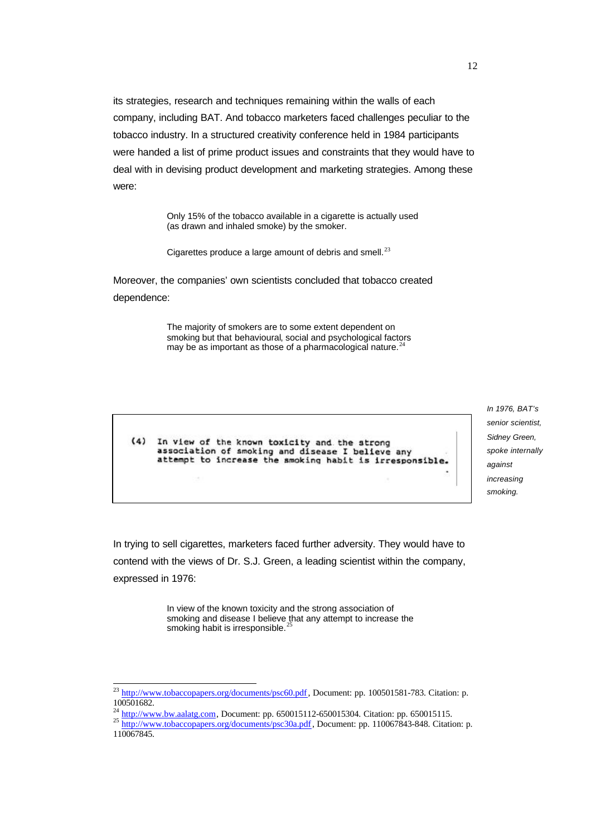its strategies, research and techniques remaining within the walls of each company, including BAT. And tobacco marketers faced challenges peculiar to the tobacco industry. In a structured creativity conference held in 1984 participants were handed a list of prime product issues and constraints that they would have to deal with in devising product development and marketing strategies. Among these were:

> Only 15% of the tobacco available in a cigarette is actually used (as drawn and inhaled smoke) by the smoker.

Cigarettes produce a large amount of debris and smell. $^{23}$ 

Moreover, the companies' own scientists concluded that tobacco created dependence:

> The majority of smokers are to some extent dependent on smoking but that behavioural, social and psychological factors may be as important as those of a pharmacological nature.<sup>2</sup>

 $(4)$ In view of the known toxicity and the strong association of smoking and disease I believe any<br>attempt to increase the smoking habit is irresponsible. *In 1976, BAT's senior scientist, Sidney Green, spoke internally against increasing smoking.*

In trying to sell cigarettes, marketers faced further adversity. They would have to contend with the views of Dr. S.J. Green, a leading scientist within the company, expressed in 1976:

> In view of the known toxicity and the strong association of smoking and disease I believe that any attempt to increase the smoking habit is irresponsible.<sup>25</sup>

<sup>&</sup>lt;sup>23</sup> http://www.tobaccopapers.org/documents/psc60.pdf, Document: pp. 100501581-783. Citation: p. 100501682.

 $^{24}$  http://www.bw.aalatg.com, Document: pp. 650015112-650015304. Citation: pp. 650015115.

<sup>&</sup>lt;sup>25</sup> http://www.tobaccopapers.org/documents/psc30a.pdf, Document: pp. 110067843-848. Citation: p. 110067845.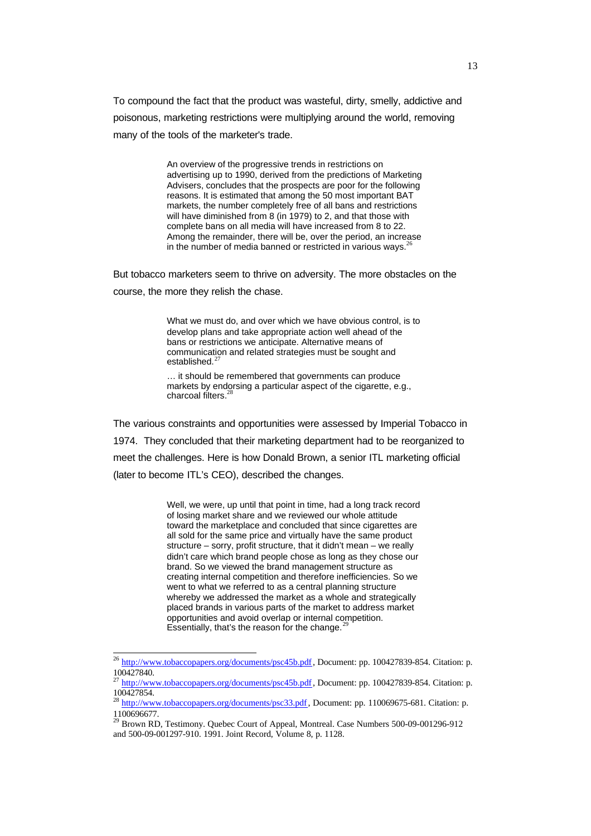To compound the fact that the product was wasteful, dirty, smelly, addictive and poisonous, marketing restrictions were multiplying around the world, removing many of the tools of the marketer's trade.

> An overview of the progressive trends in restrictions on advertising up to 1990, derived from the predictions of Marketing Advisers, concludes that the prospects are poor for the following reasons. It is estimated that among the 50 most important BAT markets, the number completely free of all bans and restrictions will have diminished from 8 (in 1979) to 2, and that those with complete bans on all media will have increased from 8 to 22. Among the remainder, there will be, over the period, an increase in the number of media banned or restricted in various ways. $^{26}$

But tobacco marketers seem to thrive on adversity. The more obstacles on the course, the more they relish the chase.

> What we must do, and over which we have obvious control, is to develop plans and take appropriate action well ahead of the bans or restrictions we anticipate. Alternative means of communication and related strategies must be sought and established.<sup>27</sup>

… it should be remembered that governments can produce markets by endorsing a particular aspect of the cigarette, e.g., charcoal filters.<sup>2</sup>

The various constraints and opportunities were assessed by Imperial Tobacco in 1974. They concluded that their marketing department had to be reorganized to meet the challenges. Here is how Donald Brown, a senior ITL marketing official (later to become ITL's CEO), described the changes.

> Well, we were, up until that point in time, had a long track record of losing market share and we reviewed our whole attitude toward the marketplace and concluded that since cigarettes are all sold for the same price and virtually have the same product structure – sorry, profit structure, that it didn't mean – we really didn't care which brand people chose as long as they chose our brand. So we viewed the brand management structure as creating internal competition and therefore inefficiencies. So we went to what we referred to as a central planning structure whereby we addressed the market as a whole and strategically placed brands in various parts of the market to address market opportunities and avoid overlap or internal competition. Essentially, that's the reason for the change. $<sup>2</sup>$ </sup>

<sup>&</sup>lt;sup>26</sup> http://www.tobaccopapers.org/documents/psc45b.pdf, Document: pp. 100427839-854. Citation: p. 100427840.

<sup>&</sup>lt;sup>27</sup> http://www.tobaccopapers.org/documents/psc45b.pdf, Document: pp. 100427839-854. Citation: p. 100427854.

<sup>&</sup>lt;sup>28</sup> http://www.tobaccopapers.org/documents/psc33.pdf, Document: pp. 110069675-681. Citation: p. 1100696677.

<sup>&</sup>lt;sup>29</sup> Brown RD, Testimony. Quebec Court of Appeal, Montreal. Case Numbers 500-09-001296-912 and 500-09-001297-910. 1991. Joint Record, Volume 8, p. 1128.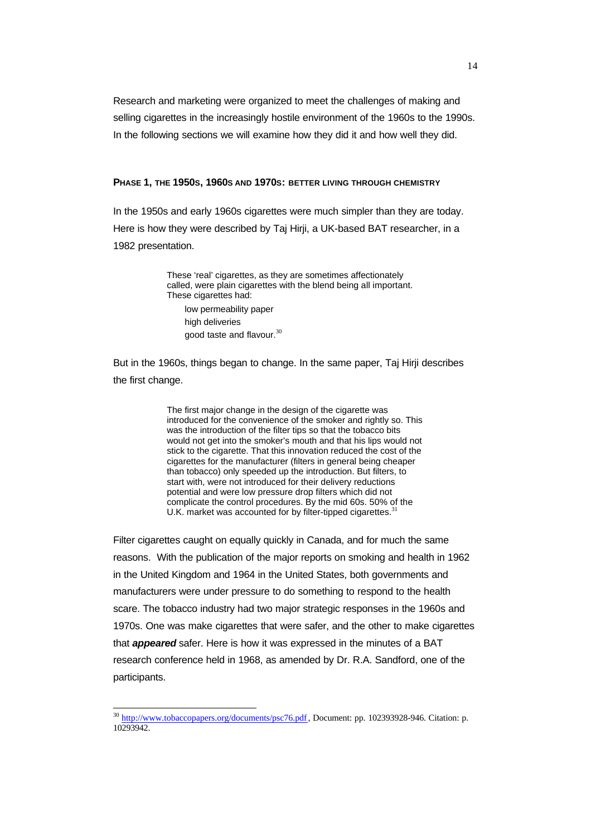Research and marketing were organized to meet the challenges of making and selling cigarettes in the increasingly hostile environment of the 1960s to the 1990s. In the following sections we will examine how they did it and how well they did.

#### **PHASE 1, THE 1950S, 1960S AND 1970S: BETTER LIVING THROUGH CHEMISTRY**

In the 1950s and early 1960s cigarettes were much simpler than they are today. Here is how they were described by Taj Hirji, a UK-based BAT researcher, in a 1982 presentation.

> These 'real' cigarettes, as they are sometimes affectionately called, were plain cigarettes with the blend being all important. These cigarettes had:

low permeability paper high deliveries good taste and flavour. $30$ 

But in the 1960s, things began to change. In the same paper, Taj Hirji describes the first change.

> The first major change in the design of the cigarette was introduced for the convenience of the smoker and rightly so. This was the introduction of the filter tips so that the tobacco bits would not get into the smoker's mouth and that his lips would not stick to the cigarette. That this innovation reduced the cost of the cigarettes for the manufacturer (filters in general being cheaper than tobacco) only speeded up the introduction. But filters, to start with, were not introduced for their delivery reductions potential and were low pressure drop filters which did not complicate the control procedures. By the mid 60s. 50% of the U.K. market was accounted for by filter-tipped cigarettes.<sup>3</sup>

Filter cigarettes caught on equally quickly in Canada, and for much the same reasons. With the publication of the major reports on smoking and health in 1962 in the United Kingdom and 1964 in the United States, both governments and manufacturers were under pressure to do something to respond to the health scare. The tobacco industry had two major strategic responses in the 1960s and 1970s. One was make cigarettes that were safer, and the other to make cigarettes that *appeared* safer. Here is how it was expressed in the minutes of a BAT research conference held in 1968, as amended by Dr. R.A. Sandford, one of the participants.

 $\overline{\phantom{a}}$ 

<sup>&</sup>lt;sup>30</sup> http://www.tobaccopapers.org/documents/psc76.pdf, Document: pp. 102393928-946. Citation: p. 10293942.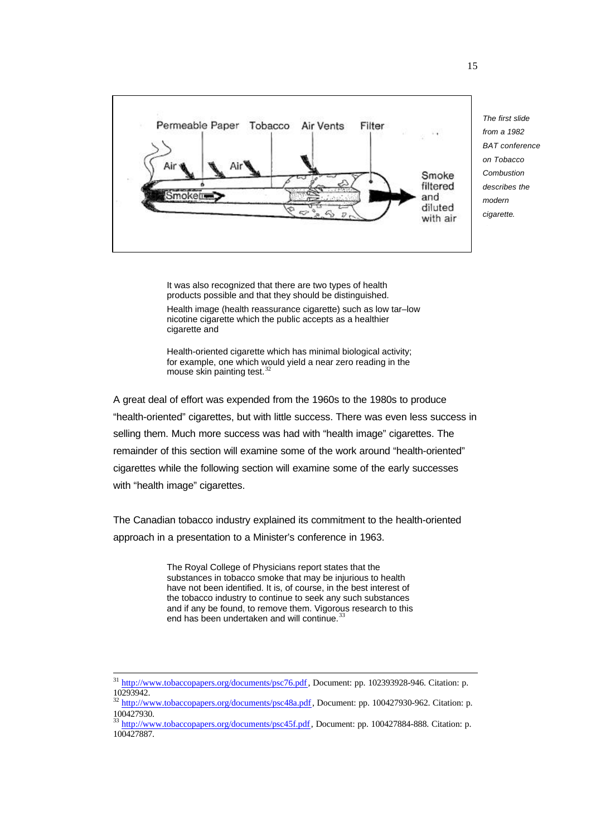

*The first slide from a 1982 BAT conference on Tobacco Combustion describes the modern cigarette*.

It was also recognized that there are two types of health products possible and that they should be distinguished.

Health image (health reassurance cigarette) such as low tar–low nicotine cigarette which the public accepts as a healthier cigarette and

Health-oriented cigarette which has minimal biological activity; for example, one which would yield a near zero reading in the mouse skin painting test. $32$ 

A great deal of effort was expended from the 1960s to the 1980s to produce "health-oriented" cigarettes, but with little success. There was even less success in selling them. Much more success was had with "health image" cigarettes. The remainder of this section will examine some of the work around "health-oriented" cigarettes while the following section will examine some of the early successes with "health image" cigarettes.

The Canadian tobacco industry explained its commitment to the health-oriented approach in a presentation to a Minister's conference in 1963.

> The Royal College of Physicians report states that the substances in tobacco smoke that may be injurious to health have not been identified. It is, of course, in the best interest of the tobacco industry to continue to seek any such substances and if any be found, to remove them. Vigorous research to this end has been undertaken and will continue.<sup>33</sup>

<sup>&</sup>lt;sup>31</sup> http://www.tobaccopapers.org/documents/psc76.pdf, Document: pp. 102393928-946. Citation: p. 10293942.

<sup>&</sup>lt;sup>32</sup> http://www.tobaccopapers.org/documents/psc48a.pdf, Document: pp. 100427930-962. Citation: p. 100427930.

<sup>&</sup>lt;sup>33</sup> http://www.tobaccopapers.org/documents/psc45f.pdf, Document: pp. 100427884-888. Citation: p. 100427887.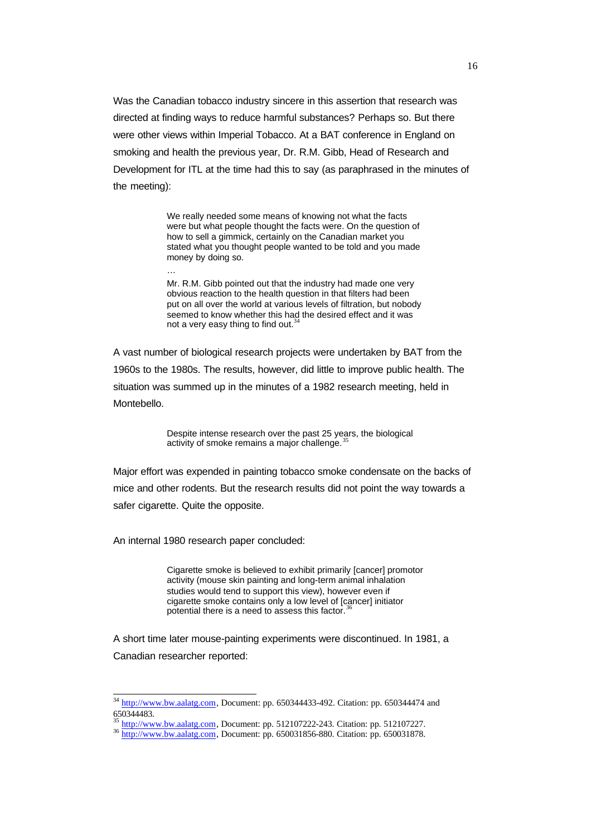Was the Canadian tobacco industry sincere in this assertion that research was directed at finding ways to reduce harmful substances? Perhaps so. But there were other views within Imperial Tobacco. At a BAT conference in England on smoking and health the previous year, Dr. R.M. Gibb, Head of Research and Development for ITL at the time had this to say (as paraphrased in the minutes of the meeting):

> We really needed some means of knowing not what the facts were but what people thought the facts were. On the question of how to sell a gimmick, certainly on the Canadian market you stated what you thought people wanted to be told and you made money by doing so.

> Mr. R.M. Gibb pointed out that the industry had made one very obvious reaction to the health question in that filters had been put on all over the world at various levels of filtration, but nobody seemed to know whether this had the desired effect and it was not a very easy thing to find out. $34$

A vast number of biological research projects were undertaken by BAT from the 1960s to the 1980s. The results, however, did little to improve public health. The situation was summed up in the minutes of a 1982 research meeting, held in Montebello.

> Despite intense research over the past 25 years, the biological activity of smoke remains a major challenge.

Major effort was expended in painting tobacco smoke condensate on the backs of mice and other rodents. But the research results did not point the way towards a safer cigarette. Quite the opposite.

An internal 1980 research paper concluded:

l

…

Cigarette smoke is believed to exhibit primarily [cancer] promotor activity (mouse skin painting and long-term animal inhalation studies would tend to support this view), however even if cigarette smoke contains only a low level of [cancer] initiator potential there is a need to assess this factor.<sup>3</sup>

A short time later mouse-painting experiments were discontinued. In 1981, a Canadian researcher reported:

 $34 \frac{\text{http://www.bw.aalatg.com}}{\text{http://www.bw.aalatg.com}}$ , Document: pp. 650344433-492. Citation: pp. 650344474 and 650344483.

http://www.bw.aalatg.com, Document: pp. 512107222-243. Citation: pp. 512107227.

<sup>36</sup> http://www.bw.aalatg.com, Document: pp. 650031856-880. Citation: pp. 650031878.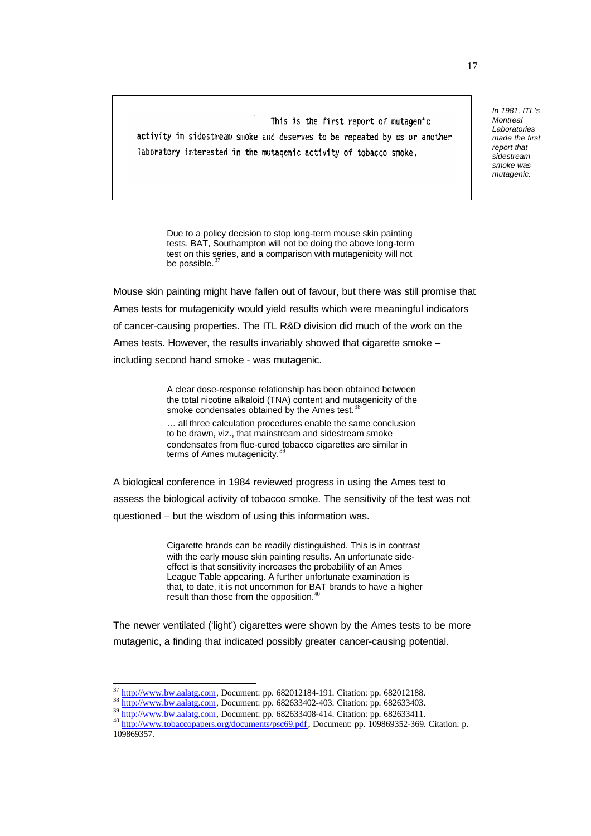This is the first report of mutagenic activity in sidestream smoke and deserves to be repeated by us or another laboratory interested in the mutagenic activity of tobacco smoke.

*Laboratories made the first report that sidestream smoke was mutagenic.*

*In 1981, ITL's Montreal*

Due to a policy decision to stop long-term mouse skin painting tests, BAT, Southampton will not be doing the above long-term test on this series, and a comparison with mutagenicity will not be possible.

Mouse skin painting might have fallen out of favour, but there was still promise that Ames tests for mutagenicity would yield results which were meaningful indicators of cancer-causing properties. The ITL R&D division did much of the work on the Ames tests. However, the results invariably showed that cigarette smoke – including second hand smoke - was mutagenic.

> A clear dose-response relationship has been obtained between the total nicotine alkaloid (TNA) content and mutagenicity of the smoke condensates obtained by the Ames test.<sup>3</sup>

> … all three calculation procedures enable the same conclusion to be drawn, viz., that mainstream and sidestream smoke condensates from flue-cured tobacco cigarettes are similar in terms of Ames mutagenicity.<sup>3</sup>

A biological conference in 1984 reviewed progress in using the Ames test to assess the biological activity of tobacco smoke. The sensitivity of the test was not questioned – but the wisdom of using this information was.

> Cigarette brands can be readily distinguished. This is in contrast with the early mouse skin painting results. An unfortunate sideeffect is that sensitivity increases the probability of an Ames League Table appearing. A further unfortunate examination is that, to date, it is not uncommon for BAT brands to have a higher result than those from the opposition. $40$

The newer ventilated ('light') cigarettes were shown by the Ames tests to be more mutagenic, a finding that indicated possibly greater cancer-causing potential.

http://www.bw.aalatg.com, Document: pp. 682012184-191. Citation: pp. 682012188.

<sup>38</sup> http://www.bw.aalatg.com, Document: pp. 682633402-403. Citation: pp. 682633403.

<sup>&</sup>lt;sup>39</sup> http://www.bw.aalatg.com, Document: pp. 682633408-414. Citation: pp. 682633411.

<sup>40</sup> http://www.tobaccopapers.org/documents/psc69.pdf, Document: pp. 109869352-369. Citation: p. 109869357.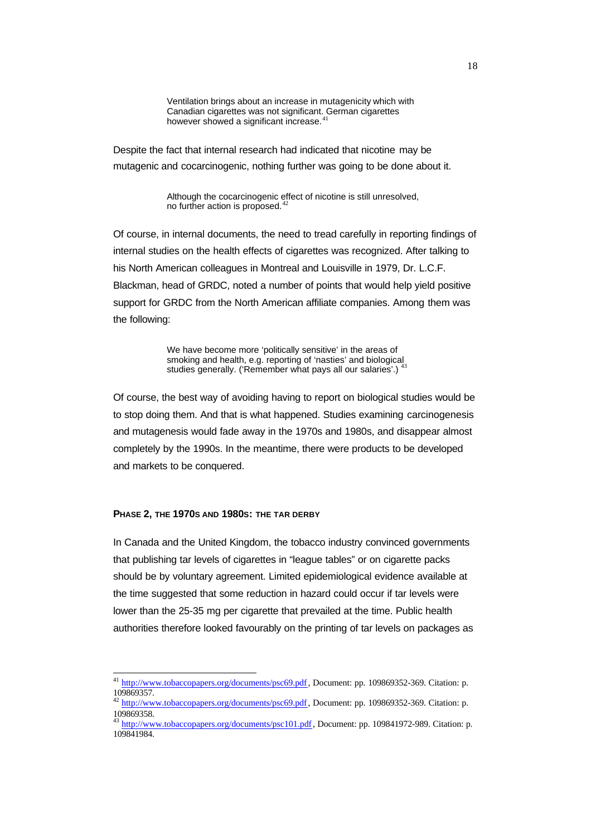Ventilation brings about an increase in mutagenicity which with Canadian cigarettes was not significant. German cigarettes however showed a significant increase.<sup>41</sup>

Despite the fact that internal research had indicated that nicotine may be mutagenic and cocarcinogenic, nothing further was going to be done about it.

> Although the cocarcinogenic effect of nicotine is still unresolved, no further action is proposed.<sup>42</sup>

Of course, in internal documents, the need to tread carefully in reporting findings of internal studies on the health effects of cigarettes was recognized. After talking to his North American colleagues in Montreal and Louisville in 1979, Dr. L.C.F. Blackman, head of GRDC, noted a number of points that would help yield positive support for GRDC from the North American affiliate companies. Among them was the following:

> We have become more 'politically sensitive' in the areas of smoking and health, e.g. reporting of 'nasties' and biological studies generally. ('Remember what pays all our salaries'.) <sup>43</sup>

Of course, the best way of avoiding having to report on biological studies would be to stop doing them. And that is what happened. Studies examining carcinogenesis and mutagenesis would fade away in the 1970s and 1980s, and disappear almost completely by the 1990s. In the meantime, there were products to be developed and markets to be conquered.

#### **PHASE 2, THE 1970S AND 1980S: THE TAR DERBY**

l

In Canada and the United Kingdom, the tobacco industry convinced governments that publishing tar levels of cigarettes in "league tables" or on cigarette packs should be by voluntary agreement. Limited epidemiological evidence available at the time suggested that some reduction in hazard could occur if tar levels were lower than the 25-35 mg per cigarette that prevailed at the time. Public health authorities therefore looked favourably on the printing of tar levels on packages as

<sup>&</sup>lt;sup>41</sup> http://www.tobaccopapers.org/documents/psc69.pdf, Document: pp. 109869352-369. Citation: p. 109869357.

<sup>&</sup>lt;sup>42</sup> http://www.tobaccopapers.org/documents/psc69.pdf, Document: pp. 109869352-369. Citation: p. 109869358.

<sup>43</sup> http://www.tobaccopapers.org/documents/psc101.pdf, Document: pp. 109841972-989. Citation: p. 109841984.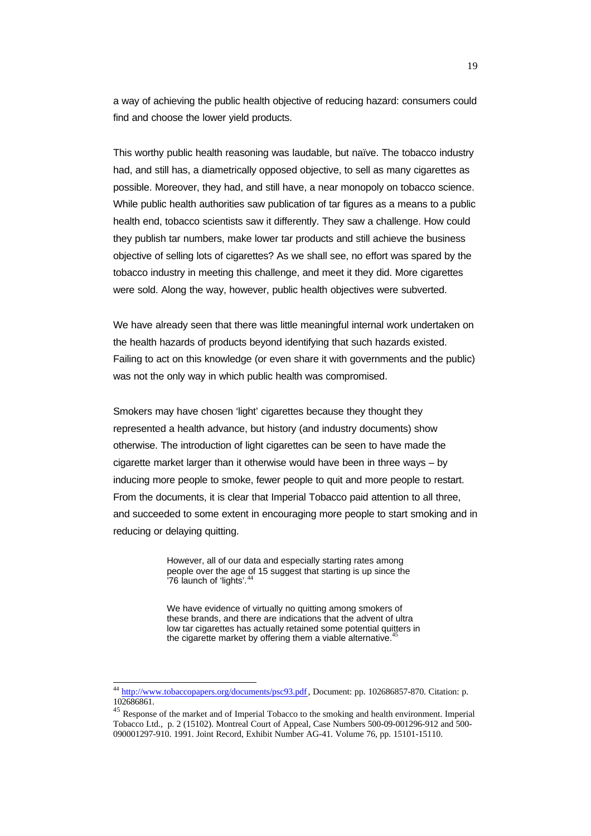a way of achieving the public health objective of reducing hazard: consumers could find and choose the lower yield products.

This worthy public health reasoning was laudable, but naïve. The tobacco industry had, and still has, a diametrically opposed objective, to sell as many cigarettes as possible. Moreover, they had, and still have, a near monopoly on tobacco science. While public health authorities saw publication of tar figures as a means to a public health end, tobacco scientists saw it differently. They saw a challenge. How could they publish tar numbers, make lower tar products and still achieve the business objective of selling lots of cigarettes? As we shall see, no effort was spared by the tobacco industry in meeting this challenge, and meet it they did. More cigarettes were sold. Along the way, however, public health objectives were subverted.

We have already seen that there was little meaningful internal work undertaken on the health hazards of products beyond identifying that such hazards existed. Failing to act on this knowledge (or even share it with governments and the public) was not the only way in which public health was compromised.

Smokers may have chosen 'light' cigarettes because they thought they represented a health advance, but history (and industry documents) show otherwise. The introduction of light cigarettes can be seen to have made the cigarette market larger than it otherwise would have been in three ways – by inducing more people to smoke, fewer people to quit and more people to restart. From the documents, it is clear that Imperial Tobacco paid attention to all three, and succeeded to some extent in encouraging more people to start smoking and in reducing or delaying quitting.

> However, all of our data and especially starting rates among people over the age of 15 suggest that starting is up since the  $\frac{1}{76}$  launch of 'lights'.

We have evidence of virtually no quitting among smokers of these brands, and there are indications that the advent of ultra low tar cigarettes has actually retained some potential quitters in the cigarette market by offering them a viable alternative.<sup>4</sup>

<sup>&</sup>lt;sup>44</sup> http://www.tobaccopapers.org/documents/psc93.pdf, Document: pp. 102686857-870. Citation: p. 102686861.

<sup>&</sup>lt;sup>45</sup> Response of the market and of Imperial Tobacco to the smoking and health environment. Imperial Tobacco Ltd., p. 2 (15102). Montreal Court of Appeal, Case Numbers 500-09-001296-912 and 500- 090001297-910. 1991. Joint Record, Exhibit Number AG-41. Volume 76, pp. 15101-15110.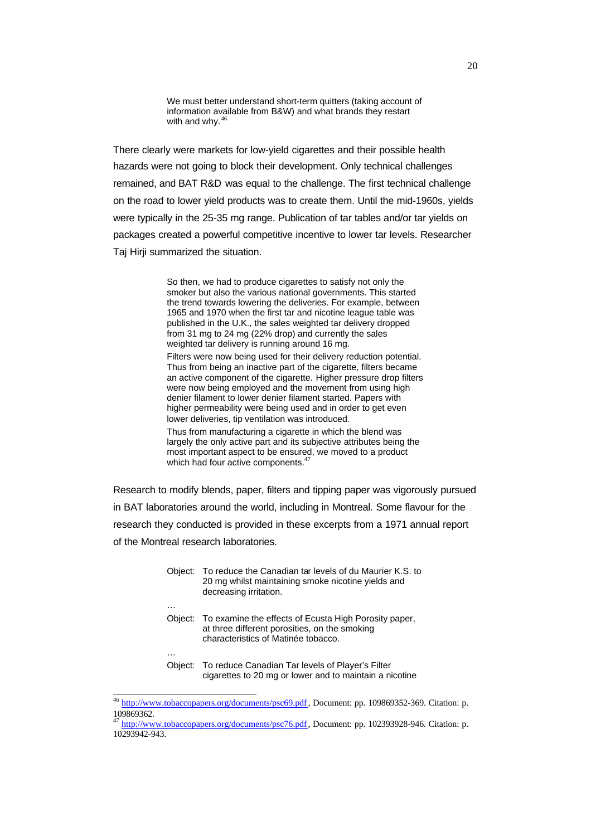We must better understand short-term quitters (taking account of information available from B&W) and what brands they restart with and why. $46$ 

There clearly were markets for low-yield cigarettes and their possible health hazards were not going to block their development. Only technical challenges remained, and BAT R&D was equal to the challenge. The first technical challenge on the road to lower yield products was to create them. Until the mid-1960s, yields were typically in the 25-35 mg range. Publication of tar tables and/or tar yields on packages created a powerful competitive incentive to lower tar levels. Researcher Taj Hirji summarized the situation.

> So then, we had to produce cigarettes to satisfy not only the smoker but also the various national governments. This started the trend towards lowering the deliveries. For example, between 1965 and 1970 when the first tar and nicotine league table was published in the U.K., the sales weighted tar delivery dropped from 31 mg to 24 mg (22% drop) and currently the sales weighted tar delivery is running around 16 mg.

Filters were now being used for their delivery reduction potential. Thus from being an inactive part of the cigarette, filters became an active component of the cigarette. Higher pressure drop filters were now being employed and the movement from using high denier filament to lower denier filament started. Papers with higher permeability were being used and in order to get even lower deliveries, tip ventilation was introduced.

Thus from manufacturing a cigarette in which the blend was largely the only active part and its subjective attributes being the most important aspect to be ensured, we moved to a product which had four active components. $^{47}$ 

Research to modify blends, paper, filters and tipping paper was vigorously pursued in BAT laboratories around the world, including in Montreal. Some flavour for the research they conducted is provided in these excerpts from a 1971 annual report of the Montreal research laboratories.

| Object: | To reduce the Canadian tar levels of du Maurier K.S. to<br>20 mg whilst maintaining smoke nicotine yields and<br>decreasing irritation.       |
|---------|-----------------------------------------------------------------------------------------------------------------------------------------------|
|         |                                                                                                                                               |
| Object: | To examine the effects of Ecusta High Porosity paper,<br>at three different porosities, on the smoking<br>characteristics of Matinée tobacco. |
|         |                                                                                                                                               |
| Object: | To reduce Canadian Tar levels of Player's Filter<br>cigarettes to 20 mg or lower and to maintain a nicotine                                   |

<sup>&</sup>lt;sup>46</sup> http://www.tobaccopapers.org/documents/psc69.pdf, Document: pp. 109869352-369. Citation: p. 109869362.

<sup>47</sup> http://www.tobaccopapers.org/documents/psc76.pdf, Document: pp. 102393928-946. Citation: p. 10293942-943.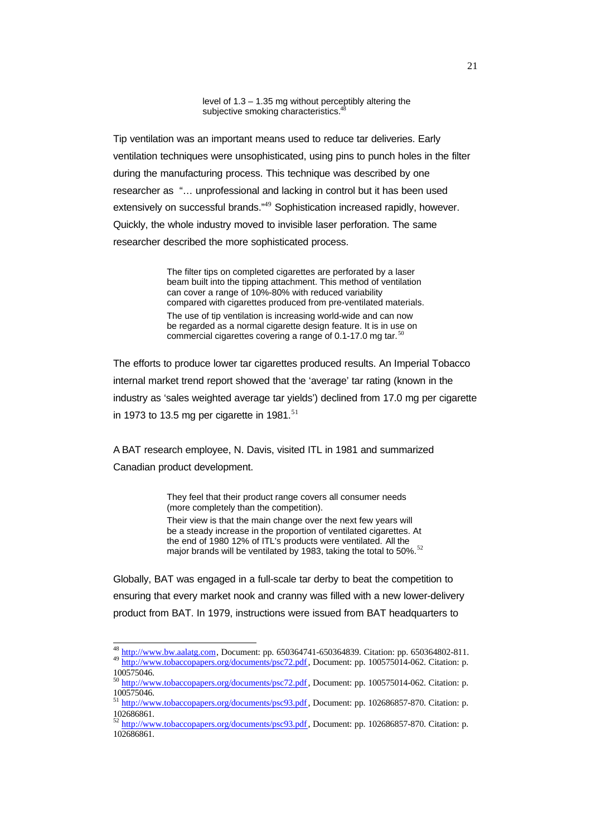level of 1.3 – 1.35 mg without perceptibly altering the subjective smoking characteristics.<sup>4</sup>

Tip ventilation was an important means used to reduce tar deliveries. Early ventilation techniques were unsophisticated, using pins to punch holes in the filter during the manufacturing process. This technique was described by one researcher as "… unprofessional and lacking in control but it has been used extensively on successful brands."<sup>49</sup> Sophistication increased rapidly, however. Quickly, the whole industry moved to invisible laser perforation. The same researcher described the more sophisticated process.

> The filter tips on completed cigarettes are perforated by a laser beam built into the tipping attachment. This method of ventilation can cover a range of 10%-80% with reduced variability compared with cigarettes produced from pre-ventilated materials. The use of tip ventilation is increasing world-wide and can now be regarded as a normal cigarette design feature. It is in use on commercial cigarettes covering a range of 0.1-17.0 mg tar.<sup>51</sup>

The efforts to produce lower tar cigarettes produced results. An Imperial Tobacco internal market trend report showed that the 'average' tar rating (known in the industry as 'sales weighted average tar yields') declined from 17.0 mg per cigarette in 1973 to 13.5 mg per cigarette in 1981. $51$ 

A BAT research employee, N. Davis, visited ITL in 1981 and summarized Canadian product development.

> They feel that their product range covers all consumer needs (more completely than the competition).

Their view is that the main change over the next few years will be a steady increase in the proportion of ventilated cigarettes. At the end of 1980 12% of ITL's products were ventilated. All the major brands will be ventilated by 1983, taking the total to 50%.<sup>52</sup>

Globally, BAT was engaged in a full-scale tar derby to beat the competition to ensuring that every market nook and cranny was filled with a new lower-delivery product from BAT. In 1979, instructions were issued from BAT headquarters to

 $\overline{\phantom{a}}$ 

<sup>&</sup>lt;sup>48</sup> http://www.bw.aalatg.com, Document: pp. 650364741-650364839. Citation: pp. 650364802-811. 49 http://www.tobaccopapers.org/documents/psc72.pdf, Document: pp. 100575014-062. Citation: p.

<sup>100575046.</sup>

<sup>50</sup> http://www.tobaccopapers.org/documents/psc72.pdf, Document: pp. 100575014-062. Citation: p. 100575046.

<sup>51</sup> http://www.tobaccopapers.org/documents/psc93.pdf, Document: pp. 102686857-870. Citation: p. 102686861.

<sup>52</sup> http://www.tobaccopapers.org/documents/psc93.pdf, Document: pp. 102686857-870. Citation: p. 102686861.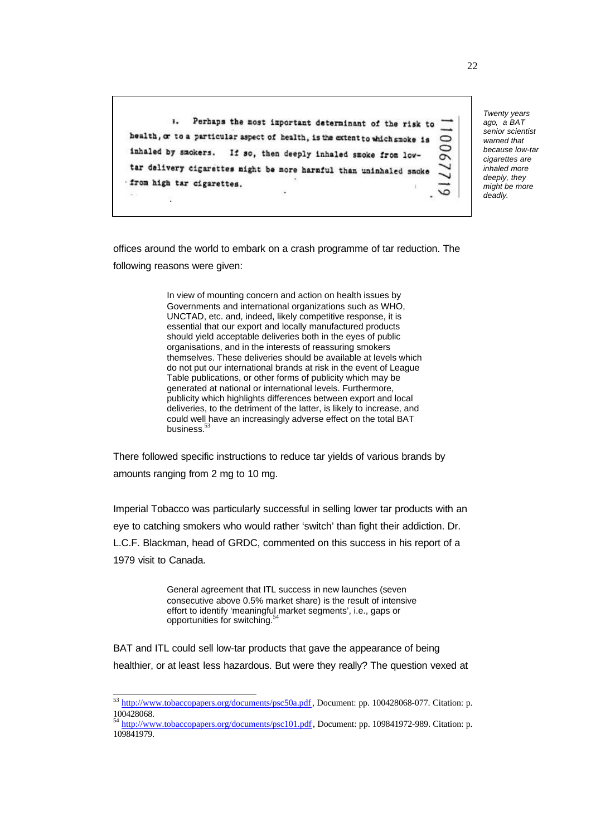Perhaps the most important determinant of the risk to  $\mathbf{L}$ health, or to a particular aspect of health, is the extent to which smoke is inhaled by smokers. If so, then deeply inhaled smoke from lowtar delivery cigarettes might be more harmful than uninhaled smoke from high tar cigarettes.

*Twenty years ago, a BAT senior scientist warned that because low-tar cigarettes are inhaled more deeply, they might be more deadly*.

offices around the world to embark on a crash programme of tar reduction. The following reasons were given:

> In view of mounting concern and action on health issues by Governments and international organizations such as WHO, UNCTAD, etc. and, indeed, likely competitive response, it is essential that our export and locally manufactured products should yield acceptable deliveries both in the eyes of public organisations, and in the interests of reassuring smokers themselves. These deliveries should be available at levels which do not put our international brands at risk in the event of League Table publications, or other forms of publicity which may be generated at national or international levels. Furthermore, publicity which highlights differences between export and local deliveries, to the detriment of the latter, is likely to increase, and could well have an increasingly adverse effect on the total BAT business.<sup>53</sup>

There followed specific instructions to reduce tar yields of various brands by amounts ranging from 2 mg to 10 mg.

Imperial Tobacco was particularly successful in selling lower tar products with an eye to catching smokers who would rather 'switch' than fight their addiction. Dr. L.C.F. Blackman, head of GRDC, commented on this success in his report of a 1979 visit to Canada.

> General agreement that ITL success in new launches (seven consecutive above 0.5% market share) is the result of intensive effort to identify 'meaningful market segments', i.e., gaps or opportunities for switching.<sup>5</sup>

BAT and ITL could sell low-tar products that gave the appearance of being healthier, or at least less hazardous. But were they really? The question vexed at

<sup>&</sup>lt;sup>53</sup> http://www.tobaccopapers.org/documents/psc50a.pdf, Document: pp. 100428068-077. Citation: p. 100428068.

<sup>54</sup> http://www.tobaccopapers.org/documents/psc101.pdf, Document: pp. 109841972-989. Citation: p. 109841979.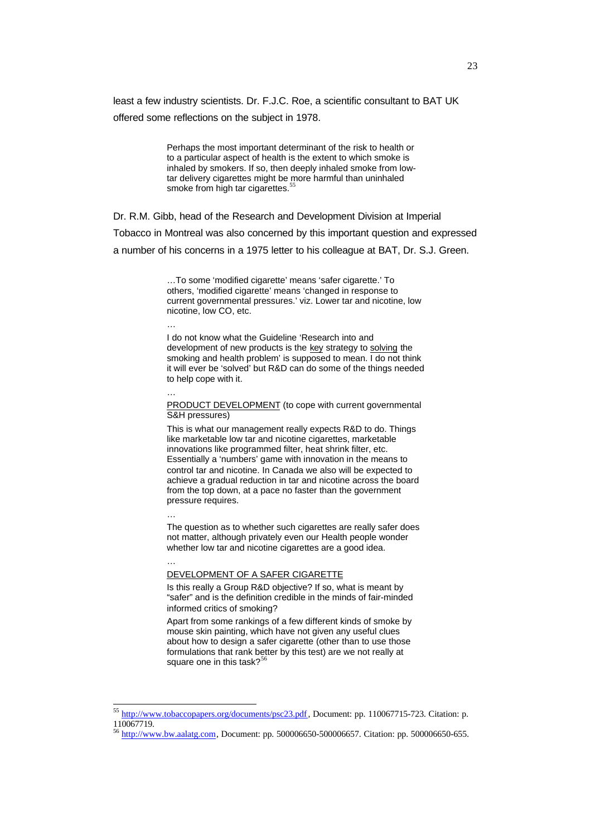least a few industry scientists. Dr. F.J.C. Roe, a scientific consultant to BAT UK offered some reflections on the subject in 1978.

> Perhaps the most important determinant of the risk to health or to a particular aspect of health is the extent to which smoke is inhaled by smokers. If so, then deeply inhaled smoke from lowtar delivery cigarettes might be more harmful than uninhaled smoke from high tar cigarettes.<sup>55</sup>

Dr. R.M. Gibb, head of the Research and Development Division at Imperial Tobacco in Montreal was also concerned by this important question and expressed a number of his concerns in a 1975 letter to his colleague at BAT, Dr. S.J. Green.

> …To some 'modified cigarette' means 'safer cigarette.' To others, 'modified cigarette' means 'changed in response to current governmental pressures.' viz. Lower tar and nicotine, low nicotine, low CO, etc.

…

I do not know what the Guideline 'Research into and development of new products is the key strategy to solving the smoking and health problem' is supposed to mean. I do not think it will ever be 'solved' but R&D can do some of the things needed to help cope with it.

…

PRODUCT DEVELOPMENT (to cope with current governmental S&H pressures)

This is what our management really expects R&D to do. Things like marketable low tar and nicotine cigarettes, marketable innovations like programmed filter, heat shrink filter, etc. Essentially a 'numbers' game with innovation in the means to control tar and nicotine. In Canada we also will be expected to achieve a gradual reduction in tar and nicotine across the board from the top down, at a pace no faster than the government pressure requires.

…

…

l

The question as to whether such cigarettes are really safer does not matter, although privately even our Health people wonder whether low tar and nicotine cigarettes are a good idea.

DEVELOPMENT OF A SAFER CIGARETTE

Is this really a Group R&D objective? If so, what is meant by "safer" and is the definition credible in the minds of fair-minded informed critics of smoking?

Apart from some rankings of a few different kinds of smoke by mouse skin painting, which have not given any useful clues about how to design a safer cigarette (other than to use those formulations that rank better by this test) are we not really at square one in this task?<sup>56</sup>

<sup>&</sup>lt;sup>55</sup> http://www.tobaccopapers.org/documents/psc23.pdf, Document: pp. 110067715-723. Citation: p. 110067719.

<sup>56</sup> http://www.bw.aalatg.com, Document: pp. 500006650-500006657. Citation: pp. 500006650-655.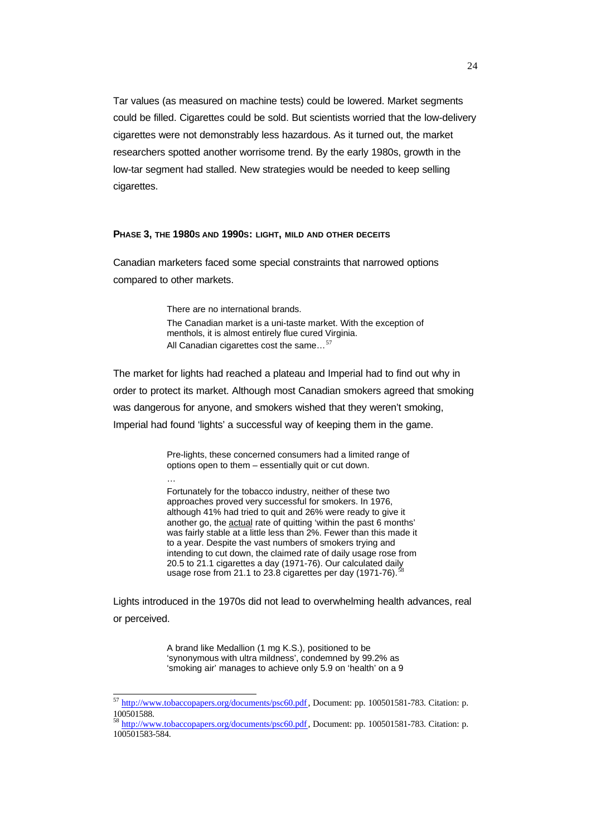Tar values (as measured on machine tests) could be lowered. Market segments could be filled. Cigarettes could be sold. But scientists worried that the low-delivery cigarettes were not demonstrably less hazardous. As it turned out, the market researchers spotted another worrisome trend. By the early 1980s, growth in the low-tar segment had stalled. New strategies would be needed to keep selling cigarettes.

## **PHASE 3, THE 1980S AND 1990S: LIGHT, MILD AND OTHER DECEITS**

Canadian marketers faced some special constraints that narrowed options compared to other markets.

> There are no international brands. The Canadian market is a uni-taste market. With the exception of menthols, it is almost entirely flue cured Virginia. All Canadian cigarettes cost the same... $57$

The market for lights had reached a plateau and Imperial had to find out why in order to protect its market. Although most Canadian smokers agreed that smoking was dangerous for anyone, and smokers wished that they weren't smoking, Imperial had found 'lights' a successful way of keeping them in the game.

> Pre-lights, these concerned consumers had a limited range of options open to them – essentially quit or cut down.

…

l

Fortunately for the tobacco industry, neither of these two approaches proved very successful for smokers. In 1976, although 41% had tried to quit and 26% were ready to give it another go, the actual rate of quitting 'within the past 6 months' was fairly stable at a little less than 2%. Fewer than this made it to a year. Despite the vast numbers of smokers trying and intending to cut down, the claimed rate of daily usage rose from 20.5 to 21.1 cigarettes a day (1971-76). Our calculated daily usage rose from 21.1 to 23.8 cigarettes per day (1971-76).

Lights introduced in the 1970s did not lead to overwhelming health advances, real or perceived.

> A brand like Medallion (1 mg K.S.), positioned to be 'synonymous with ultra mildness', condemned by 99.2% as 'smoking air' manages to achieve only 5.9 on 'health' on a 9

<sup>&</sup>lt;sup>57</sup> http://www.tobaccopapers.org/documents/psc60.pdf, Document: pp. 100501581-783. Citation: p. 100501588.

<sup>58</sup> http://www.tobaccopapers.org/documents/psc60.pdf, Document: pp. 100501581-783. Citation: p. 100501583-584.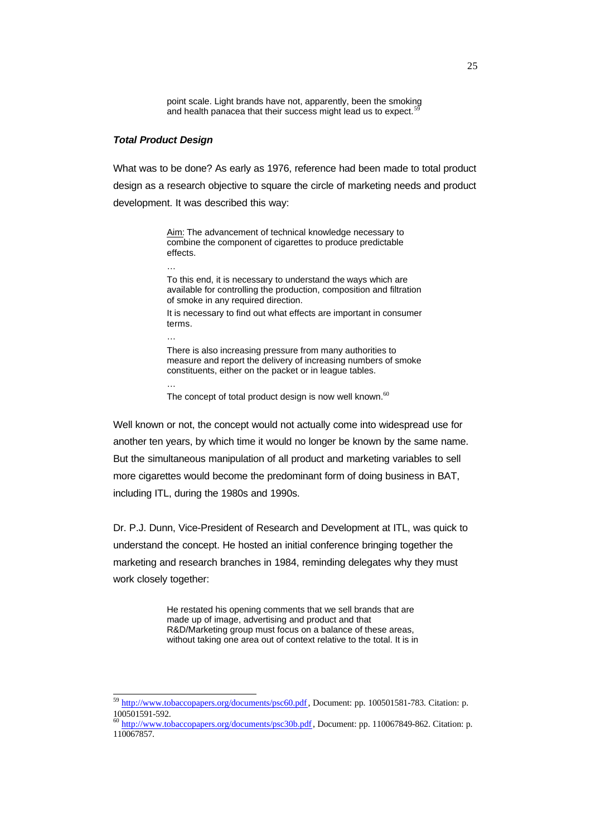point scale. Light brands have not, apparently, been the smoking and health panacea that their success might lead us to expect.

## *Total Product Design*

…

…

…

l

What was to be done? As early as 1976, reference had been made to total product design as a research objective to square the circle of marketing needs and product development. It was described this way:

> Aim: The advancement of technical knowledge necessary to combine the component of cigarettes to produce predictable effects.

To this end, it is necessary to understand the ways which are available for controlling the production, composition and filtration of smoke in any required direction.

It is necessary to find out what effects are important in consumer terms.

There is also increasing pressure from many authorities to measure and report the delivery of increasing numbers of smoke constituents, either on the packet or in league tables.

The concept of total product design is now well known. $60$ 

Well known or not, the concept would not actually come into widespread use for another ten years, by which time it would no longer be known by the same name. But the simultaneous manipulation of all product and marketing variables to sell more cigarettes would become the predominant form of doing business in BAT, including ITL, during the 1980s and 1990s.

Dr. P.J. Dunn, Vice-President of Research and Development at ITL, was quick to understand the concept. He hosted an initial conference bringing together the marketing and research branches in 1984, reminding delegates why they must work closely together:

> He restated his opening comments that we sell brands that are made up of image, advertising and product and that R&D/Marketing group must focus on a balance of these areas, without taking one area out of context relative to the total. It is in

<sup>59</sup> http://www.tobaccopapers.org/documents/psc60.pdf, Document: pp. 100501581-783. Citation: p. 100501591-592.

<sup>60</sup> http://www.tobaccopapers.org/documents/psc30b.pdf, Document: pp. 110067849-862. Citation: p. 110067857.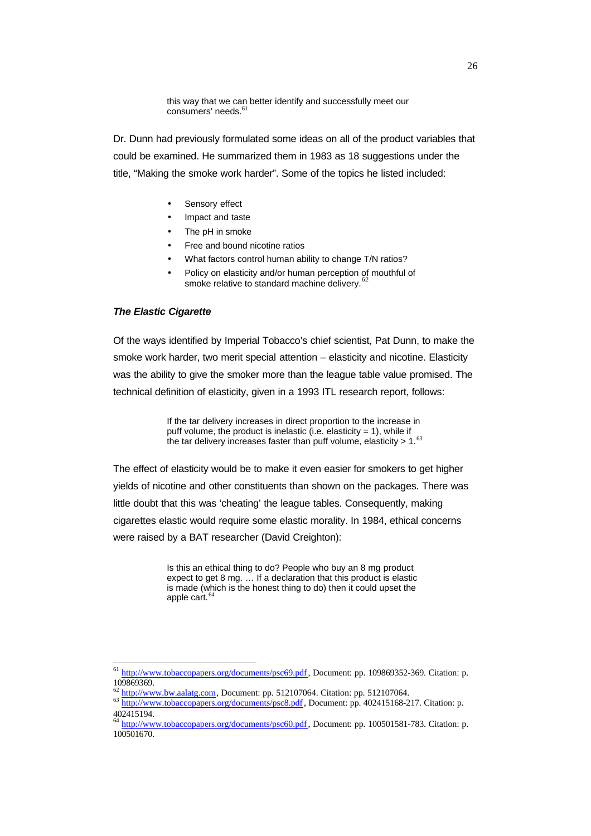this way that we can better identify and successfully meet our consumers' needs.<sup>6</sup>

Dr. Dunn had previously formulated some ideas on all of the product variables that could be examined. He summarized them in 1983 as 18 suggestions under the title, "Making the smoke work harder". Some of the topics he listed included:

- Sensory effect
- Impact and taste
- The pH in smoke
- Free and bound nicotine ratios
- What factors control human ability to change T/N ratios?
- Policy on elasticity and/or human perception of mouthful of smoke relative to standard machine delivery.<sup>62</sup>

## *The Elastic Cigarette*

l

Of the ways identified by Imperial Tobacco's chief scientist, Pat Dunn, to make the smoke work harder, two merit special attention – elasticity and nicotine. Elasticity was the ability to give the smoker more than the league table value promised. The technical definition of elasticity, given in a 1993 ITL research report, follows:

> If the tar delivery increases in direct proportion to the increase in puff volume, the product is inelastic (i.e. elasticity = 1), while if the tar delivery increases faster than puff volume, elasticity  $> 1.63$

The effect of elasticity would be to make it even easier for smokers to get higher yields of nicotine and other constituents than shown on the packages. There was little doubt that this was 'cheating' the league tables. Consequently, making cigarettes elastic would require some elastic morality. In 1984, ethical concerns were raised by a BAT researcher (David Creighton):

> Is this an ethical thing to do? People who buy an 8 mg product expect to get 8 mg. … If a declaration that this product is elastic is made (which is the honest thing to do) then it could upset the apple cart. $<sup>6</sup>$ </sup>

<sup>61</sup> http://www.tobaccopapers.org/documents/psc69.pdf, Document: pp. 109869352-369. Citation: p. 109869369.

http://www.bw.aalatg.com, Document: pp. 512107064. Citation: pp. 512107064.

<sup>63</sup> http://www.tobaccopapers.org/documents/psc8.pdf, Document: pp. 402415168-217. Citation: p. 402415194.

<sup>64</sup> http://www.tobaccopapers.org/documents/psc60.pdf, Document: pp. 100501581-783. Citation: p. 100501670.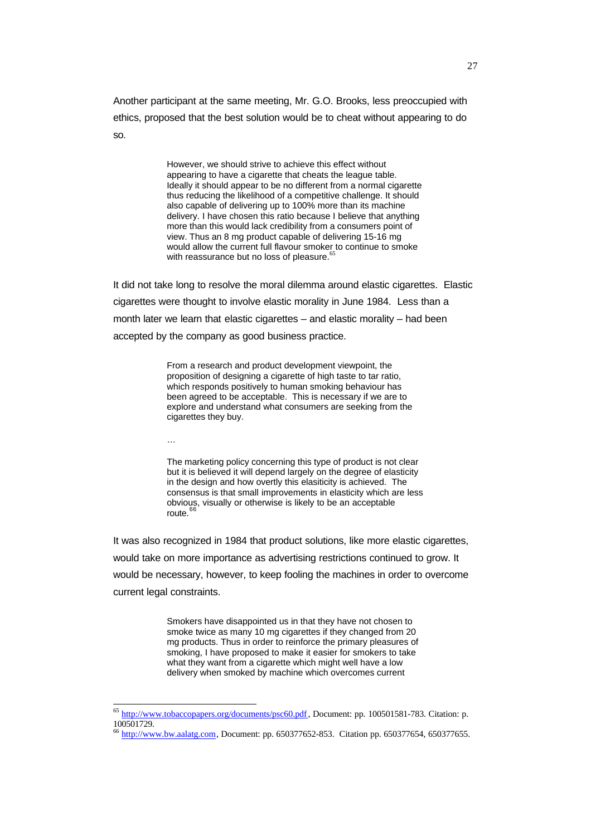Another participant at the same meeting, Mr. G.O. Brooks, less preoccupied with ethics, proposed that the best solution would be to cheat without appearing to do so.

> However, we should strive to achieve this effect without appearing to have a cigarette that cheats the league table. Ideally it should appear to be no different from a normal cigarette thus reducing the likelihood of a competitive challenge. It should also capable of delivering up to 100% more than its machine delivery. I have chosen this ratio because I believe that anything more than this would lack credibility from a consumers point of view. Thus an 8 mg product capable of delivering 15-16 mg would allow the current full flavour smoker to continue to smoke with reassurance but no loss of pleasure.<sup>6</sup>

It did not take long to resolve the moral dilemma around elastic cigarettes. Elastic cigarettes were thought to involve elastic morality in June 1984. Less than a month later we learn that elastic cigarettes – and elastic morality – had been accepted by the company as good business practice.

> From a research and product development viewpoint, the proposition of designing a cigarette of high taste to tar ratio, which responds positively to human smoking behaviour has been agreed to be acceptable. This is necessary if we are to explore and understand what consumers are seeking from the cigarettes they buy.

…

l

The marketing policy concerning this type of product is not clear but it is believed it will depend largely on the degree of elasticity in the design and how overtly this elasiticity is achieved. The consensus is that small improvements in elasticity which are less obvious, visually or otherwise is likely to be an acceptable route.

It was also recognized in 1984 that product solutions, like more elastic cigarettes, would take on more importance as advertising restrictions continued to grow. It would be necessary, however, to keep fooling the machines in order to overcome current legal constraints.

> Smokers have disappointed us in that they have not chosen to smoke twice as many 10 mg cigarettes if they changed from 20 mg products. Thus in order to reinforce the primary pleasures of smoking, I have proposed to make it easier for smokers to take what they want from a cigarette which might well have a low delivery when smoked by machine which overcomes current

<sup>&</sup>lt;sup>65</sup> http://www.tobaccopapers.org/documents/psc60.pdf, Document: pp. 100501581-783. Citation: p. 100501729.

<sup>66</sup> http://www.bw.aalatg.com, Document: pp. 650377652-853. Citation pp. 650377654, 650377655.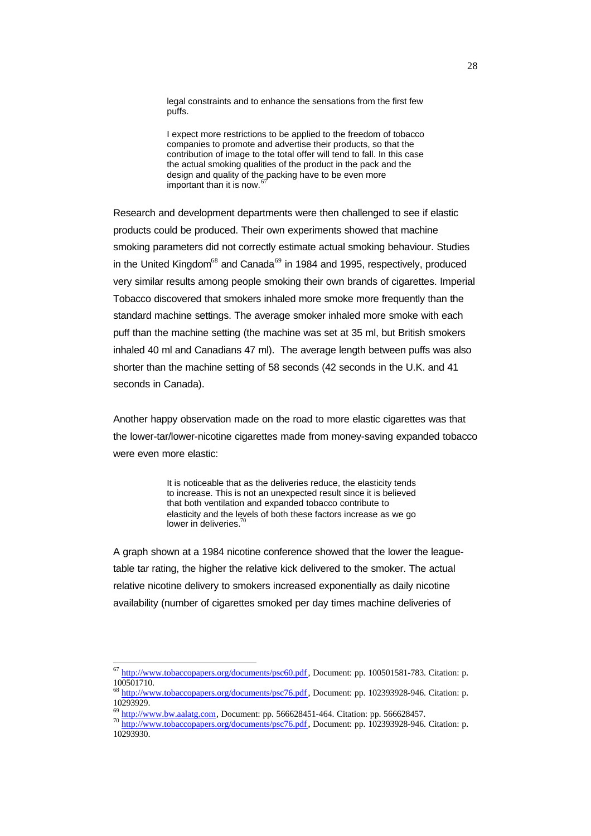legal constraints and to enhance the sensations from the first few puffs.

I expect more restrictions to be applied to the freedom of tobacco companies to promote and advertise their products, so that the contribution of image to the total offer will tend to fall. In this case the actual smoking qualities of the product in the pack and the design and quality of the packing have to be even more important than it is now.

Research and development departments were then challenged to see if elastic products could be produced. Their own experiments showed that machine smoking parameters did not correctly estimate actual smoking behaviour. Studies in the United Kingdom<sup>68</sup> and Canada<sup>69</sup> in 1984 and 1995, respectively, produced very similar results among people smoking their own brands of cigarettes. Imperial Tobacco discovered that smokers inhaled more smoke more frequently than the standard machine settings. The average smoker inhaled more smoke with each puff than the machine setting (the machine was set at 35 ml, but British smokers inhaled 40 ml and Canadians 47 ml). The average length between puffs was also shorter than the machine setting of 58 seconds (42 seconds in the U.K. and 41 seconds in Canada).

Another happy observation made on the road to more elastic cigarettes was that the lower-tar/lower-nicotine cigarettes made from money-saving expanded tobacco were even more elastic:

> It is noticeable that as the deliveries reduce, the elasticity tends to increase. This is not an unexpected result since it is believed that both ventilation and expanded tobacco contribute to elasticity and the levels of both these factors increase as we go lower in deliveries.

A graph shown at a 1984 nicotine conference showed that the lower the leaguetable tar rating, the higher the relative kick delivered to the smoker. The actual relative nicotine delivery to smokers increased exponentially as daily nicotine availability (number of cigarettes smoked per day times machine deliveries of

<sup>67</sup> http://www.tobaccopapers.org/documents/psc60.pdf, Document: pp. 100501581-783. Citation: p. 100501710.

<sup>68</sup> http://www.tobaccopapers.org/documents/psc76.pdf, Document: pp. 102393928-946. Citation: p. 10293929.

http://www.bw.aalatg.com, Document: pp. 566628451-464. Citation: pp. 566628457.

<sup>70</sup> http://www.tobaccopapers.org/documents/psc76.pdf, Document: pp. 102393928-946. Citation: p. 10293930.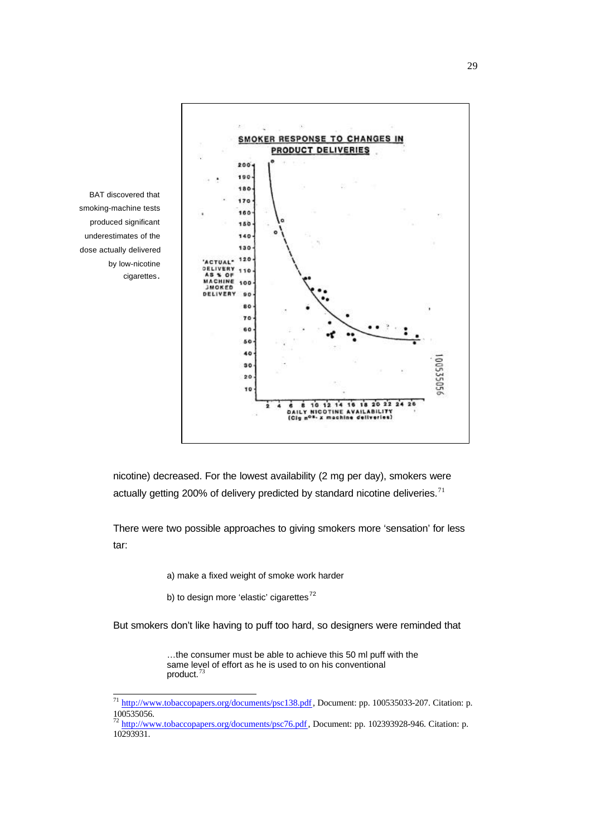

BAT discovered that smoking-machine tests produced significant underestimates of the dose actually delivered by low-nicotine cigarettes.

l

nicotine) decreased. For the lowest availability (2 mg per day), smokers were actually getting 200% of delivery predicted by standard nicotine deliveries. $71$ 

There were two possible approaches to giving smokers more 'sensation' for less tar:

a) make a fixed weight of smoke work harder

b) to design more 'elastic' cigarettes<sup>72</sup>

But smokers don't like having to puff too hard, so designers were reminded that

…the consumer must be able to achieve this 50 ml puff with the same level of effort as he is used to on his conventional product.<sup>73</sup>

<sup>&</sup>lt;sup>71</sup> http://www.tobaccopapers.org/documents/psc138.pdf, Document: pp. 100535033-207. Citation: p. 100535056.

<sup>&</sup>lt;sup>72</sup> http://www.tobaccopapers.org/documents/psc76.pdf, Document: pp. 102393928-946. Citation: p. 10293931.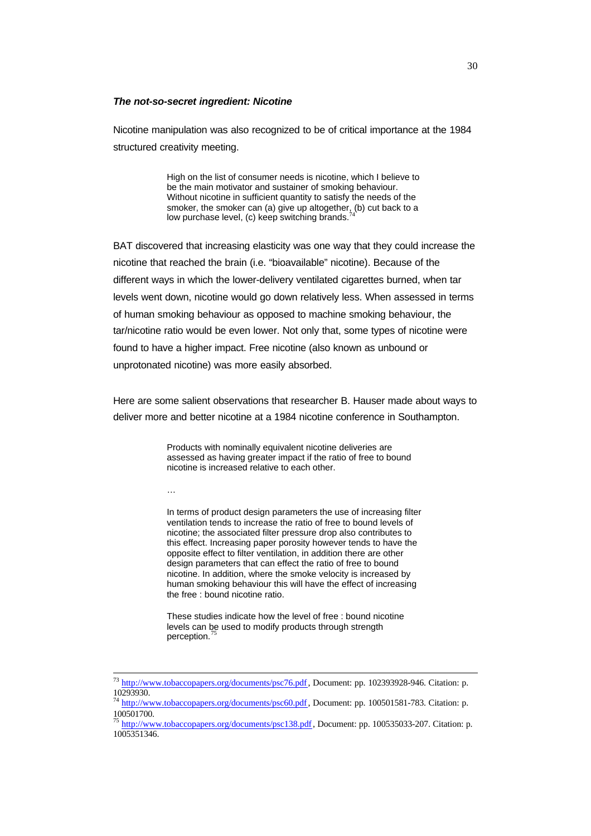#### *The not-so-secret ingredient: Nicotine*

Nicotine manipulation was also recognized to be of critical importance at the 1984 structured creativity meeting.

> High on the list of consumer needs is nicotine, which I believe to be the main motivator and sustainer of smoking behaviour. Without nicotine in sufficient quantity to satisfy the needs of the smoker, the smoker can (a) give up altogether,  $\int_{A}$ (b) cut back to a low purchase level, (c) keep switching brands.

BAT discovered that increasing elasticity was one way that they could increase the nicotine that reached the brain (i.e. "bioavailable" nicotine). Because of the different ways in which the lower-delivery ventilated cigarettes burned, when tar levels went down, nicotine would go down relatively less. When assessed in terms of human smoking behaviour as opposed to machine smoking behaviour, the tar/nicotine ratio would be even lower. Not only that, some types of nicotine were found to have a higher impact. Free nicotine (also known as unbound or unprotonated nicotine) was more easily absorbed.

Here are some salient observations that researcher B. Hauser made about ways to deliver more and better nicotine at a 1984 nicotine conference in Southampton.

> Products with nominally equivalent nicotine deliveries are assessed as having greater impact if the ratio of free to bound nicotine is increased relative to each other.

…

l

In terms of product design parameters the use of increasing filter ventilation tends to increase the ratio of free to bound levels of nicotine; the associated filter pressure drop also contributes to this effect. Increasing paper porosity however tends to have the opposite effect to filter ventilation, in addition there are other design parameters that can effect the ratio of free to bound nicotine. In addition, where the smoke velocity is increased by human smoking behaviour this will have the effect of increasing the free : bound nicotine ratio.

These studies indicate how the level of free : bound nicotine levels can be used to modify products through strength perception.

<sup>73</sup> http://www.tobaccopapers.org/documents/psc76.pdf, Document: pp. 102393928-946. Citation: p. 10293930.

<sup>&</sup>lt;sup>74</sup> http://www.tobaccopapers.org/documents/psc60.pdf, Document: pp. 100501581-783. Citation: p. 100501700.

<sup>75</sup> http://www.tobaccopapers.org/documents/psc138.pdf, Document: pp. 100535033-207. Citation: p. 1005351346.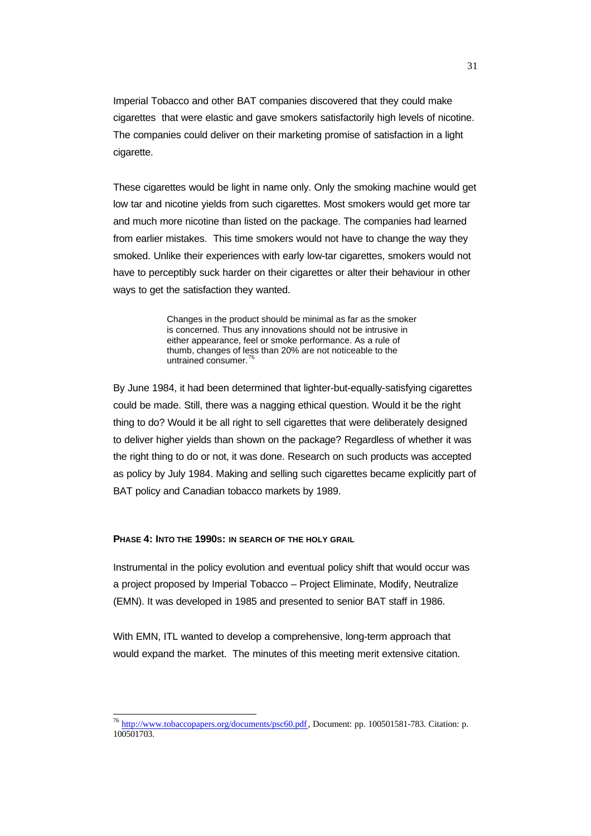Imperial Tobacco and other BAT companies discovered that they could make cigarettes that were elastic and gave smokers satisfactorily high levels of nicotine. The companies could deliver on their marketing promise of satisfaction in a light cigarette.

These cigarettes would be light in name only. Only the smoking machine would get low tar and nicotine yields from such cigarettes. Most smokers would get more tar and much more nicotine than listed on the package. The companies had learned from earlier mistakes. This time smokers would not have to change the way they smoked. Unlike their experiences with early low-tar cigarettes, smokers would not have to perceptibly suck harder on their cigarettes or alter their behaviour in other ways to get the satisfaction they wanted.

> Changes in the product should be minimal as far as the smoker is concerned. Thus any innovations should not be intrusive in either appearance, feel or smoke performance. As a rule of thumb, changes of less than 20% are not noticeable to the untrained consumer.<sup>76</sup>

By June 1984, it had been determined that lighter-but-equally-satisfying cigarettes could be made. Still, there was a nagging ethical question. Would it be the right thing to do? Would it be all right to sell cigarettes that were deliberately designed to deliver higher yields than shown on the package? Regardless of whether it was the right thing to do or not, it was done. Research on such products was accepted as policy by July 1984. Making and selling such cigarettes became explicitly part of BAT policy and Canadian tobacco markets by 1989.

## **PHASE 4: INTO THE 1990S: IN SEARCH OF THE HOLY GRAIL**

 $\overline{\phantom{a}}$ 

Instrumental in the policy evolution and eventual policy shift that would occur was a project proposed by Imperial Tobacco – Project Eliminate, Modify, Neutralize (EMN). It was developed in 1985 and presented to senior BAT staff in 1986.

With EMN, ITL wanted to develop a comprehensive, long-term approach that would expand the market. The minutes of this meeting merit extensive citation.

<sup>&</sup>lt;sup>76</sup> http://www.tobaccopapers.org/documents/psc60.pdf, Document: pp. 100501581-783. Citation: p. 100501703.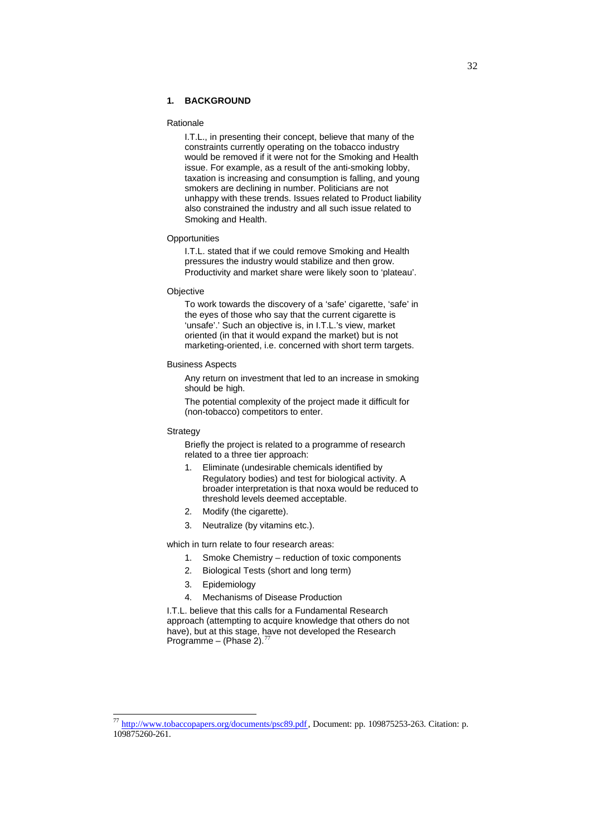## **1. BACKGROUND**

#### Rationale

I.T.L., in presenting their concept, believe that many of the constraints currently operating on the tobacco industry would be removed if it were not for the Smoking and Health issue. For example, as a result of the anti-smoking lobby, taxation is increasing and consumption is falling, and young smokers are declining in number. Politicians are not unhappy with these trends. Issues related to Product liability also constrained the industry and all such issue related to Smoking and Health.

#### **Opportunities**

I.T.L. stated that if we could remove Smoking and Health pressures the industry would stabilize and then grow. Productivity and market share were likely soon to 'plateau'.

#### **Objective**

To work towards the discovery of a 'safe' cigarette, 'safe' in the eyes of those who say that the current cigarette is 'unsafe'.' Such an objective is, in I.T.L.'s view, market oriented (in that it would expand the market) but is not marketing-oriented, i.e. concerned with short term targets.

#### Business Aspects

Any return on investment that led to an increase in smoking should be high.

The potential complexity of the project made it difficult for (non-tobacco) competitors to enter.

#### **Strategy**

 $\overline{\phantom{a}}$ 

Briefly the project is related to a programme of research related to a three tier approach:

- 1. Eliminate (undesirable chemicals identified by Regulatory bodies) and test for biological activity. A broader interpretation is that noxa would be reduced to threshold levels deemed acceptable.
- 2. Modify (the cigarette).
- 3. Neutralize (by vitamins etc.).

which in turn relate to four research areas:

- 1. Smoke Chemistry reduction of toxic components
- 2. Biological Tests (short and long term)
- 3. Epidemiology
- 4. Mechanisms of Disease Production

I.T.L. believe that this calls for a Fundamental Research approach (attempting to acquire knowledge that others do not have), but at this stage, have not developed the Research Programme – (Phase 2).

<sup>77</sup> http://www.tobaccopapers.org/documents/psc89.pdf, Document: pp. 109875253-263. Citation: p. 109875260-261.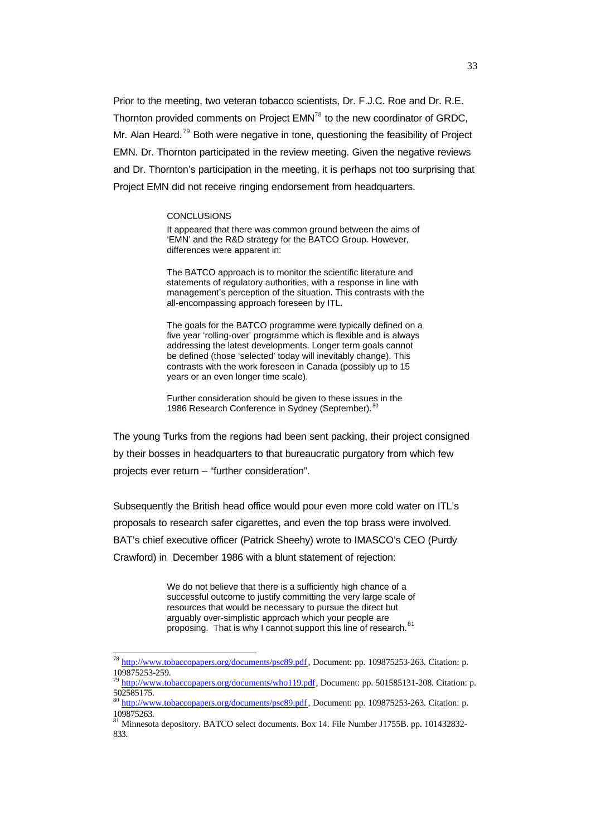Prior to the meeting, two veteran tobacco scientists, Dr. F.J.C. Roe and Dr. R.E. Thornton provided comments on Project EMN<sup>78</sup> to the new coordinator of GRDC, Mr. Alan Heard.<sup>79</sup> Both were negative in tone, questioning the feasibility of Project EMN. Dr. Thornton participated in the review meeting. Given the negative reviews and Dr. Thornton's participation in the meeting, it is perhaps not too surprising that Project EMN did not receive ringing endorsement from headquarters.

#### **CONCLUSIONS**

l

It appeared that there was common ground between the aims of 'EMN' and the R&D strategy for the BATCO Group. However, differences were apparent in:

The BATCO approach is to monitor the scientific literature and statements of regulatory authorities, with a response in line with management's perception of the situation. This contrasts with the all-encompassing approach foreseen by ITL.

The goals for the BATCO programme were typically defined on a five year 'rolling-over' programme which is flexible and is always addressing the latest developments. Longer term goals cannot be defined (those 'selected' today will inevitably change). This contrasts with the work foreseen in Canada (possibly up to 15 years or an even longer time scale).

Further consideration should be given to these issues in the 1986 Research Conference in Sydney (September).<sup>8</sup>

The young Turks from the regions had been sent packing, their project consigned by their bosses in headquarters to that bureaucratic purgatory from which few projects ever return – "further consideration".

Subsequently the British head office would pour even more cold water on ITL's proposals to research safer cigarettes, and even the top brass were involved. BAT's chief executive officer (Patrick Sheehy) wrote to IMASCO's CEO (Purdy Crawford) in December 1986 with a blunt statement of rejection:

> We do not believe that there is a sufficiently high chance of a successful outcome to justify committing the very large scale of resources that would be necessary to pursue the direct but arguably over-simplistic approach which your people are proposing. That is why I cannot support this line of research.<sup>81</sup>

<sup>&</sup>lt;sup>78</sup> http://www.tobaccopapers.org/documents/psc89.pdf, Document: pp. 109875253-263. Citation: p. 109875253-259.

<sup>&</sup>lt;sup>79</sup> http://www.tobaccopapers.org/documents/who119.pdf, Document: pp. 501585131-208. Citation: p. 502585175.

<sup>&</sup>lt;sup>80</sup> http://www.tobaccopapers.org/documents/psc89.pdf, Document: pp. 109875253-263. Citation: p. 109875263.

<sup>81</sup> Minnesota depository. BATCO select documents. Box 14. File Number J1755B. pp. 101432832-833.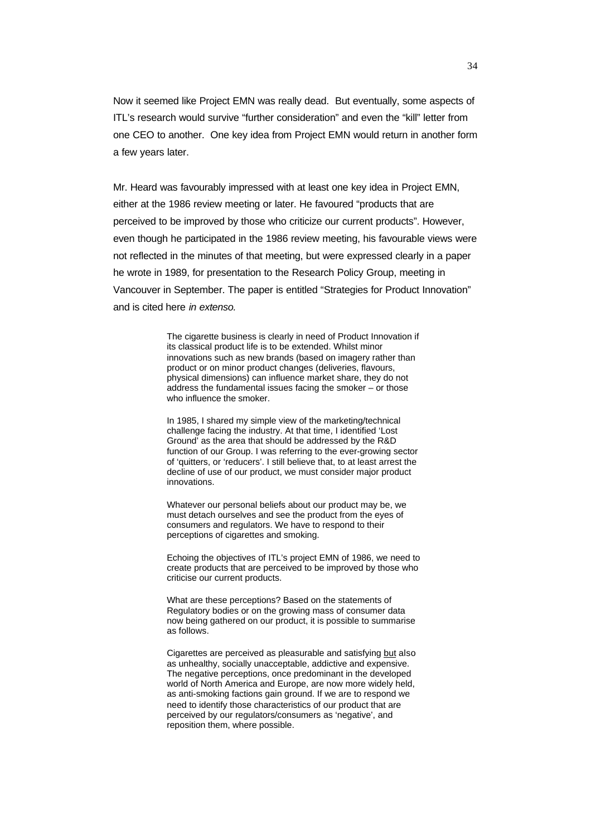Now it seemed like Project EMN was really dead. But eventually, some aspects of ITL's research would survive "further consideration" and even the "kill" letter from one CEO to another. One key idea from Project EMN would return in another form a few years later.

Mr. Heard was favourably impressed with at least one key idea in Project EMN, either at the 1986 review meeting or later. He favoured "products that are perceived to be improved by those who criticize our current products". However, even though he participated in the 1986 review meeting, his favourable views were not reflected in the minutes of that meeting, but were expressed clearly in a paper he wrote in 1989, for presentation to the Research Policy Group, meeting in Vancouver in September. The paper is entitled "Strategies for Product Innovation" and is cited here *in extenso.*

> The cigarette business is clearly in need of Product Innovation if its classical product life is to be extended. Whilst minor innovations such as new brands (based on imagery rather than product or on minor product changes (deliveries, flavours, physical dimensions) can influence market share, they do not address the fundamental issues facing the smoker – or those who influence the smoker.

> In 1985, I shared my simple view of the marketing/technical challenge facing the industry. At that time, I identified 'Lost Ground' as the area that should be addressed by the R&D function of our Group. I was referring to the ever-growing sector of 'quitters, or 'reducers'. I still believe that, to at least arrest the decline of use of our product, we must consider major product innovations.

Whatever our personal beliefs about our product may be, we must detach ourselves and see the product from the eyes of consumers and regulators. We have to respond to their perceptions of cigarettes and smoking.

Echoing the objectives of ITL's project EMN of 1986, we need to create products that are perceived to be improved by those who criticise our current products.

What are these perceptions? Based on the statements of Regulatory bodies or on the growing mass of consumer data now being gathered on our product, it is possible to summarise as follows.

Cigarettes are perceived as pleasurable and satisfying but also as unhealthy, socially unacceptable, addictive and expensive. The negative perceptions, once predominant in the developed world of North America and Europe, are now more widely held, as anti-smoking factions gain ground. If we are to respond we need to identify those characteristics of our product that are perceived by our regulators/consumers as 'negative', and reposition them, where possible.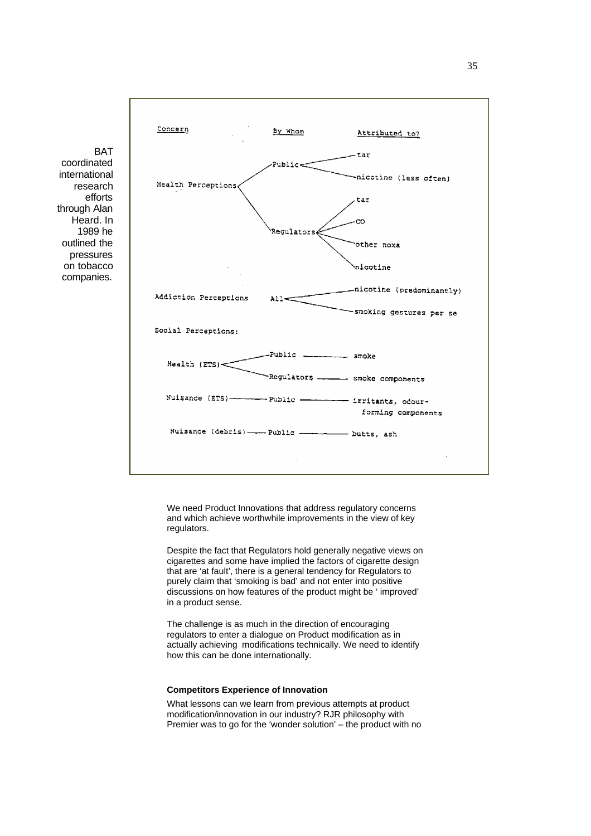

**BAT** coordinated international research efforts through Alan Heard. In 1989 he outlined the pressures on tobacco companies.

> We need Product Innovations that address regulatory concerns and which achieve worthwhile improvements in the view of key regulators.

Despite the fact that Regulators hold generally negative views on cigarettes and some have implied the factors of cigarette design that are 'at fault', there is a general tendency for Regulators to purely claim that 'smoking is bad' and not enter into positive discussions on how features of the product might be ' improved' in a product sense.

The challenge is as much in the direction of encouraging regulators to enter a dialogue on Product modification as in actually achieving modifications technically. We need to identify how this can be done internationally.

#### **Competitors Experience of Innovation**

What lessons can we learn from previous attempts at product modification/innovation in our industry? RJR philosophy with Premier was to go for the 'wonder solution' – the product with no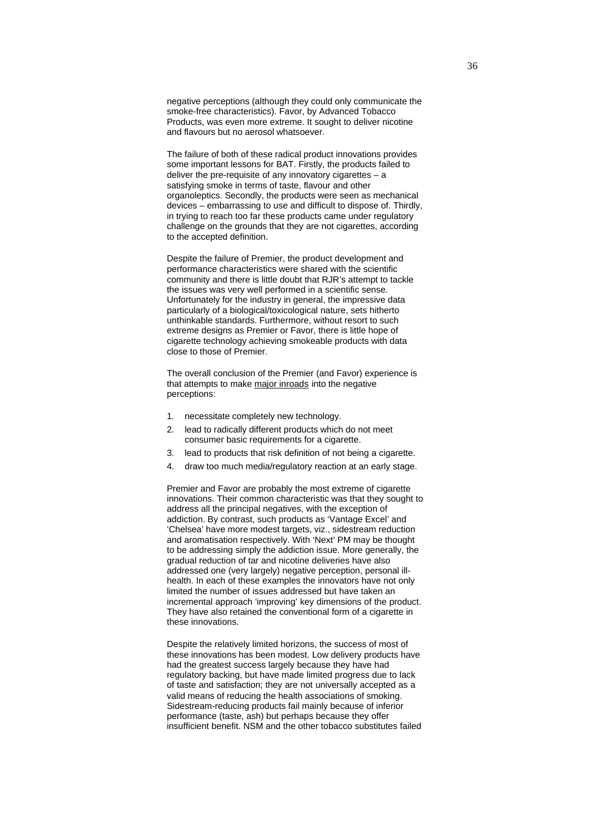negative perceptions (although they could only communicate the smoke-free characteristics). Favor, by Advanced Tobacco Products, was even more extreme. It sought to deliver nicotine and flavours but no aerosol whatsoever.

The failure of both of these radical product innovations provides some important lessons for BAT. Firstly, the products failed to deliver the pre-requisite of any innovatory cigarettes – a satisfying smoke in terms of taste, flavour and other organoleptics. Secondly, the products were seen as mechanical devices – embarrassing to use and difficult to dispose of. Thirdly, in trying to reach too far these products came under regulatory challenge on the grounds that they are not cigarettes, according to the accepted definition.

Despite the failure of Premier, the product development and performance characteristics were shared with the scientific community and there is little doubt that RJR's attempt to tackle the issues was very well performed in a scientific sense. Unfortunately for the industry in general, the impressive data particularly of a biological/toxicological nature, sets hitherto unthinkable standards. Furthermore, without resort to such extreme designs as Premier or Favor, there is little hope of cigarette technology achieving smokeable products with data close to those of Premier.

The overall conclusion of the Premier (and Favor) experience is that attempts to make major inroads into the negative perceptions:

- 1. necessitate completely new technology.
- 2. lead to radically different products which do not meet consumer basic requirements for a cigarette.
- 3. lead to products that risk definition of not being a cigarette.
- 4. draw too much media/regulatory reaction at an early stage.

Premier and Favor are probably the most extreme of cigarette innovations. Their common characteristic was that they sought to address all the principal negatives, with the exception of addiction. By contrast, such products as 'Vantage Excel' and 'Chelsea' have more modest targets, viz., sidestream reduction and aromatisation respectively. With 'Next' PM may be thought to be addressing simply the addiction issue. More generally, the gradual reduction of tar and nicotine deliveries have also addressed one (very largely) negative perception, personal illhealth. In each of these examples the innovators have not only limited the number of issues addressed but have taken an incremental approach 'improving' key dimensions of the product. They have also retained the conventional form of a cigarette in these innovations.

Despite the relatively limited horizons, the success of most of these innovations has been modest. Low delivery products have had the greatest success largely because they have had regulatory backing, but have made limited progress due to lack of taste and satisfaction; they are not universally accepted as a valid means of reducing the health associations of smoking. Sidestream-reducing products fail mainly because of inferior performance (taste, ash) but perhaps because they offer insufficient benefit. NSM and the other tobacco substitutes failed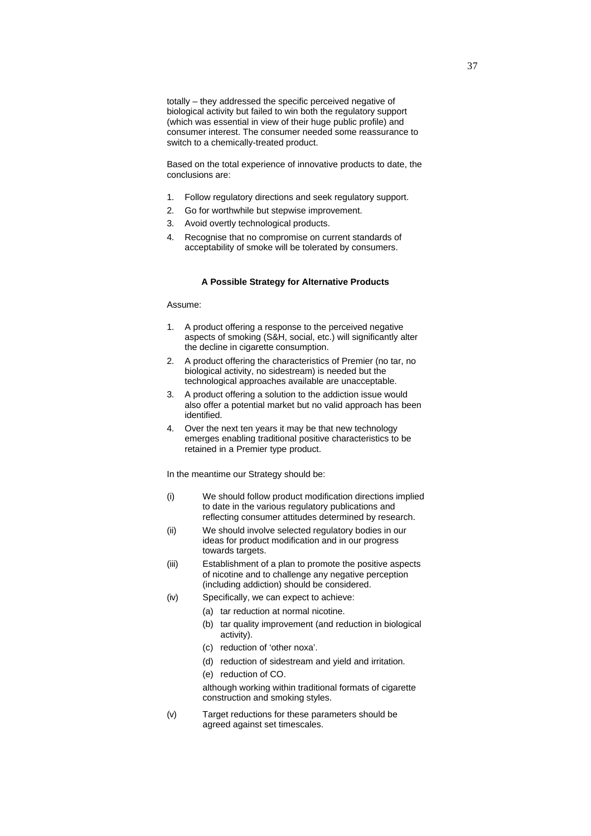totally – they addressed the specific perceived negative of biological activity but failed to win both the regulatory support (which was essential in view of their huge public profile) and consumer interest. The consumer needed some reassurance to switch to a chemically-treated product.

Based on the total experience of innovative products to date, the conclusions are:

- 1. Follow regulatory directions and seek regulatory support.
- 2. Go for worthwhile but stepwise improvement.
- 3. Avoid overtly technological products.
- 4. Recognise that no compromise on current standards of acceptability of smoke will be tolerated by consumers.

#### **A Possible Strategy for Alternative Products**

#### Assume:

- 1. A product offering a response to the perceived negative aspects of smoking (S&H, social, etc.) will significantly alter the decline in cigarette consumption.
- 2. A product offering the characteristics of Premier (no tar, no biological activity, no sidestream) is needed but the technological approaches available are unacceptable.
- 3. A product offering a solution to the addiction issue would also offer a potential market but no valid approach has been identified.
- 4. Over the next ten years it may be that new technology emerges enabling traditional positive characteristics to be retained in a Premier type product.

In the meantime our Strategy should be:

- (i) We should follow product modification directions implied to date in the various regulatory publications and reflecting consumer attitudes determined by research.
- (ii) We should involve selected regulatory bodies in our ideas for product modification and in our progress towards targets.
- (iii) Establishment of a plan to promote the positive aspects of nicotine and to challenge any negative perception (including addiction) should be considered.
- (iv) Specifically, we can expect to achieve:
	- (a) tar reduction at normal nicotine.
	- (b) tar quality improvement (and reduction in biological activity).
	- (c) reduction of 'other noxa'.
	- (d) reduction of sidestream and yield and irritation.
	- (e) reduction of CO.

although working within traditional formats of cigarette construction and smoking styles.

(v) Target reductions for these parameters should be agreed against set timescales.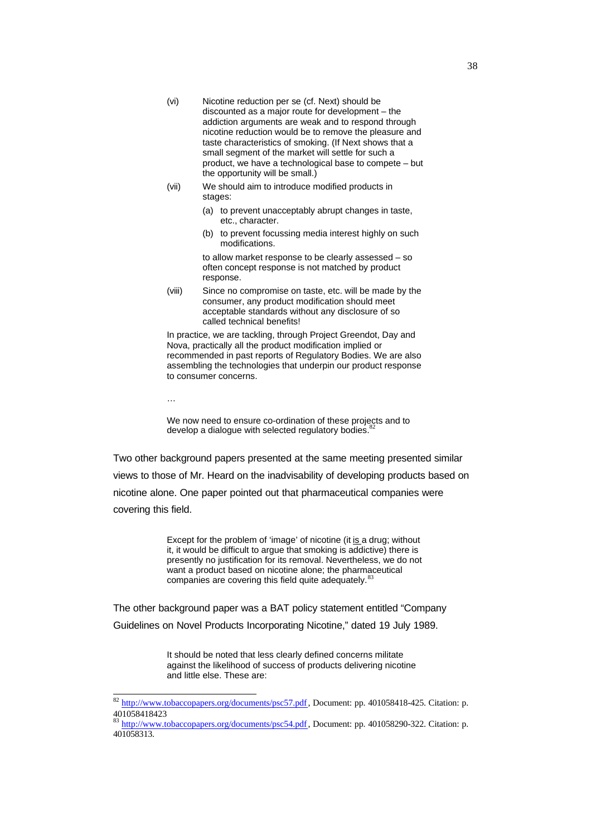- (vi) Nicotine reduction per se (cf. Next) should be discounted as a major route for development – the addiction arguments are weak and to respond through nicotine reduction would be to remove the pleasure and taste characteristics of smoking. (If Next shows that a small segment of the market will settle for such a product, we have a technological base to compete – but the opportunity will be small.)
- (vii) We should aim to introduce modified products in stages:
	- (a) to prevent unacceptably abrupt changes in taste, etc., character.
	- (b) to prevent focussing media interest highly on such modifications.

to allow market response to be clearly assessed – so often concept response is not matched by product response.

(viii) Since no compromise on taste, etc. will be made by the consumer, any product modification should meet acceptable standards without any disclosure of so called technical benefits!

In practice, we are tackling, through Project Greendot, Day and Nova, practically all the product modification implied or recommended in past reports of Regulatory Bodies. We are also assembling the technologies that underpin our product response to consumer concerns.

l

We now need to ensure co-ordination of these projects and to develop a dialogue with selected regulatory bodies.<sup>8</sup>

Two other background papers presented at the same meeting presented similar views to those of Mr. Heard on the inadvisability of developing products based on nicotine alone. One paper pointed out that pharmaceutical companies were covering this field.

> Except for the problem of 'image' of nicotine (it is a drug; without it, it would be difficult to argue that smoking is addictive) there is presently no justification for its removal. Nevertheless, we do not want a product based on nicotine alone; the pharmaceutical companies are covering this field quite adequately. <sup>83</sup>

The other background paper was a BAT policy statement entitled "Company Guidelines on Novel Products Incorporating Nicotine," dated 19 July 1989.

> It should be noted that less clearly defined concerns militate against the likelihood of success of products delivering nicotine and little else. These are:

<sup>&</sup>lt;sup>82</sup> http://www.tobaccopapers.org/documents/psc57.pdf, Document: pp. 401058418-425. Citation: p. 401058418423

<sup>83</sup> http://www.tobaccopapers.org/documents/psc54.pdf, Document: pp. 401058290-322. Citation: p. 401058313.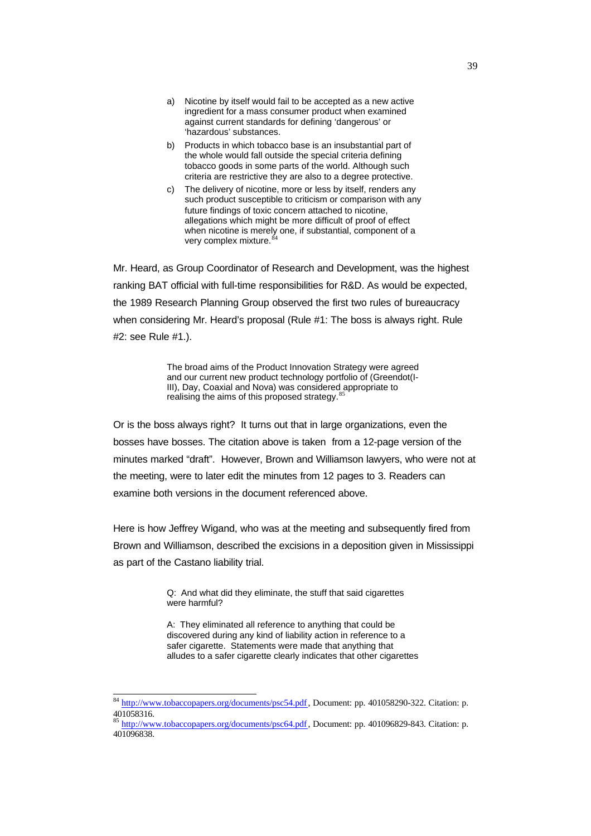- a) Nicotine by itself would fail to be accepted as a new active ingredient for a mass consumer product when examined against current standards for defining 'dangerous' or 'hazardous' substances.
- b) Products in which tobacco base is an insubstantial part of the whole would fall outside the special criteria defining tobacco goods in some parts of the world. Although such criteria are restrictive they are also to a degree protective.
- c) The delivery of nicotine, more or less by itself, renders any such product susceptible to criticism or comparison with any future findings of toxic concern attached to nicotine, allegations which might be more difficult of proof of effect when nicotine is merely one, if substantial, component of a very complex mixture.

Mr. Heard, as Group Coordinator of Research and Development, was the highest ranking BAT official with full-time responsibilities for R&D. As would be expected, the 1989 Research Planning Group observed the first two rules of bureaucracy when considering Mr. Heard's proposal (Rule #1: The boss is always right. Rule #2: see Rule #1.).

> The broad aims of the Product Innovation Strategy were agreed and our current new product technology portfolio of (Greendot(I-III), Day, Coaxial and Nova) was considered appropriate to realising the aims of this proposed strategy.<sup>85</sup>

Or is the boss always right? It turns out that in large organizations, even the bosses have bosses. The citation above is taken from a 12-page version of the minutes marked "draft". However, Brown and Williamson lawyers, who were not at the meeting, were to later edit the minutes from 12 pages to 3. Readers can examine both versions in the document referenced above.

Here is how Jeffrey Wigand, who was at the meeting and subsequently fired from Brown and Williamson, described the excisions in a deposition given in Mississippi as part of the Castano liability trial.

> Q: And what did they eliminate, the stuff that said cigarettes were harmful?

A: They eliminated all reference to anything that could be discovered during any kind of liability action in reference to a safer cigarette. Statements were made that anything that alludes to a safer cigarette clearly indicates that other cigarettes

<sup>&</sup>lt;sup>84</sup> http://www.tobaccopapers.org/documents/psc54.pdf, Document: pp. 401058290-322. Citation: p. 401058316.

<sup>85</sup> http://www.tobaccopapers.org/documents/psc64.pdf, Document: pp. 401096829-843. Citation: p. 401096838.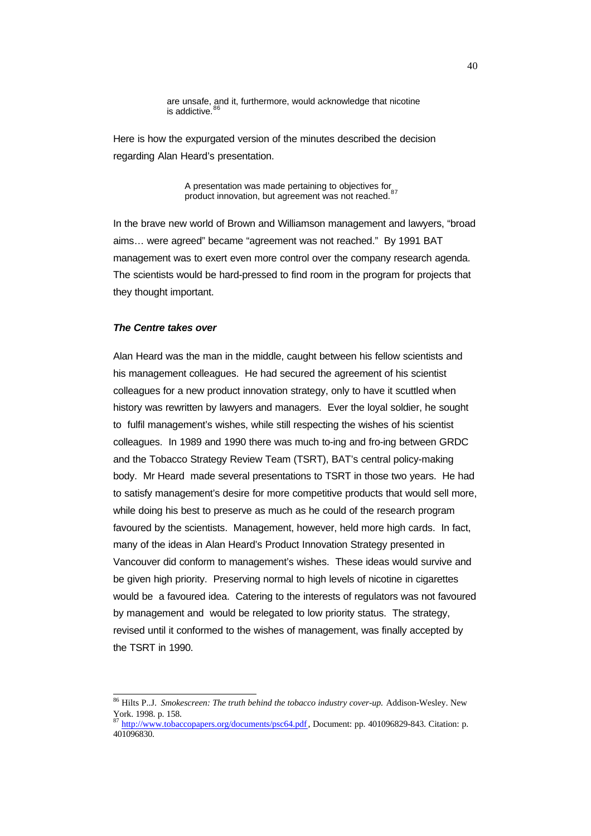are unsafe, and it, furthermore, would acknowledge that nicotine<br>is addictive.<sup>86</sup>

Here is how the expurgated version of the minutes described the decision regarding Alan Heard's presentation.

> A presentation was made pertaining to objectives for  $87$ product innovation, but agreement was not reached.

In the brave new world of Brown and Williamson management and lawyers, "broad aims… were agreed" became "agreement was not reached." By 1991 BAT management was to exert even more control over the company research agenda. The scientists would be hard-pressed to find room in the program for projects that they thought important.

## *The Centre takes over*

l

Alan Heard was the man in the middle, caught between his fellow scientists and his management colleagues. He had secured the agreement of his scientist colleagues for a new product innovation strategy, only to have it scuttled when history was rewritten by lawyers and managers. Ever the loyal soldier, he sought to fulfil management's wishes, while still respecting the wishes of his scientist colleagues. In 1989 and 1990 there was much to-ing and fro-ing between GRDC and the Tobacco Strategy Review Team (TSRT), BAT's central policy-making body. Mr Heard made several presentations to TSRT in those two years. He had to satisfy management's desire for more competitive products that would sell more, while doing his best to preserve as much as he could of the research program favoured by the scientists. Management, however, held more high cards. In fact, many of the ideas in Alan Heard's Product Innovation Strategy presented in Vancouver did conform to management's wishes. These ideas would survive and be given high priority. Preserving normal to high levels of nicotine in cigarettes would be a favoured idea. Catering to the interests of regulators was not favoured by management and would be relegated to low priority status. The strategy, revised until it conformed to the wishes of management, was finally accepted by the TSRT in 1990.

<sup>86</sup> Hilts P..J. *Smokescreen: The truth behind the tobacco industry cover-up.* Addison-Wesley. New York. 1998. p. 158.

<sup>87</sup> http://www.tobaccopapers.org/documents/psc64.pdf, Document: pp. 401096829-843. Citation: p. 401096830.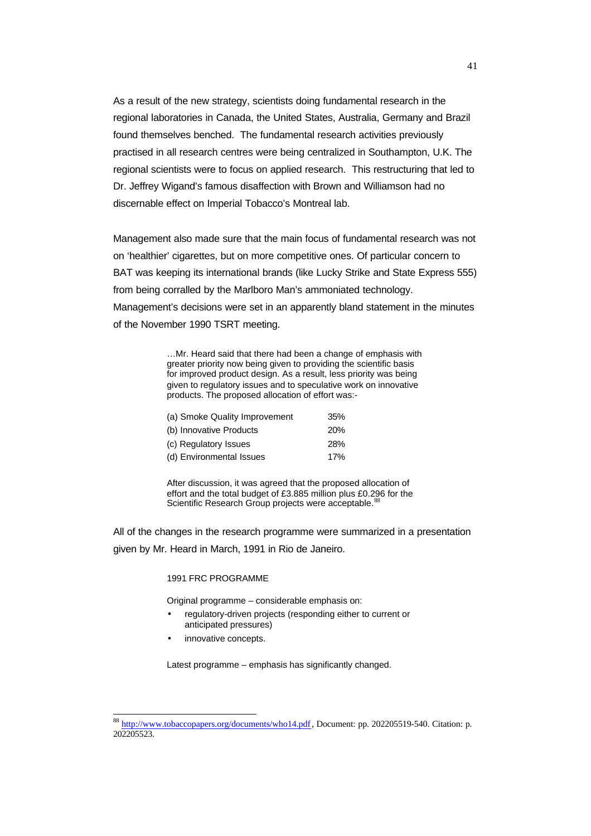As a result of the new strategy, scientists doing fundamental research in the regional laboratories in Canada, the United States, Australia, Germany and Brazil found themselves benched. The fundamental research activities previously practised in all research centres were being centralized in Southampton, U.K. The regional scientists were to focus on applied research. This restructuring that led to Dr. Jeffrey Wigand's famous disaffection with Brown and Williamson had no discernable effect on Imperial Tobacco's Montreal lab.

Management also made sure that the main focus of fundamental research was not on 'healthier' cigarettes, but on more competitive ones. Of particular concern to BAT was keeping its international brands (like Lucky Strike and State Express 555) from being corralled by the Marlboro Man's ammoniated technology. Management's decisions were set in an apparently bland statement in the minutes of the November 1990 TSRT meeting.

> …Mr. Heard said that there had been a change of emphasis with greater priority now being given to providing the scientific basis for improved product design. As a result, less priority was being given to regulatory issues and to speculative work on innovative products. The proposed allocation of effort was:-

| (a) Smoke Quality Improvement | 35% |
|-------------------------------|-----|
| (b) Innovative Products       | 20% |
| (c) Regulatory Issues         | 28% |
| (d) Environmental Issues      | 17% |

After discussion, it was agreed that the proposed allocation of effort and the total budget of £3.885 million plus £0.296 for the Scientific Research Group projects were acceptable.<sup>8</sup>

All of the changes in the research programme were summarized in a presentation given by Mr. Heard in March, 1991 in Rio de Janeiro.

## 1991 FRC PROGRAMME

Original programme – considerable emphasis on:

- regulatory-driven projects (responding either to current or anticipated pressures)
- innovative concepts.

 $\overline{\phantom{a}}$ 

Latest programme – emphasis has significantly changed.

<sup>88</sup> http://www.tobaccopapers.org/documents/who14.pdf, Document: pp. 202205519-540. Citation: p. 202205523.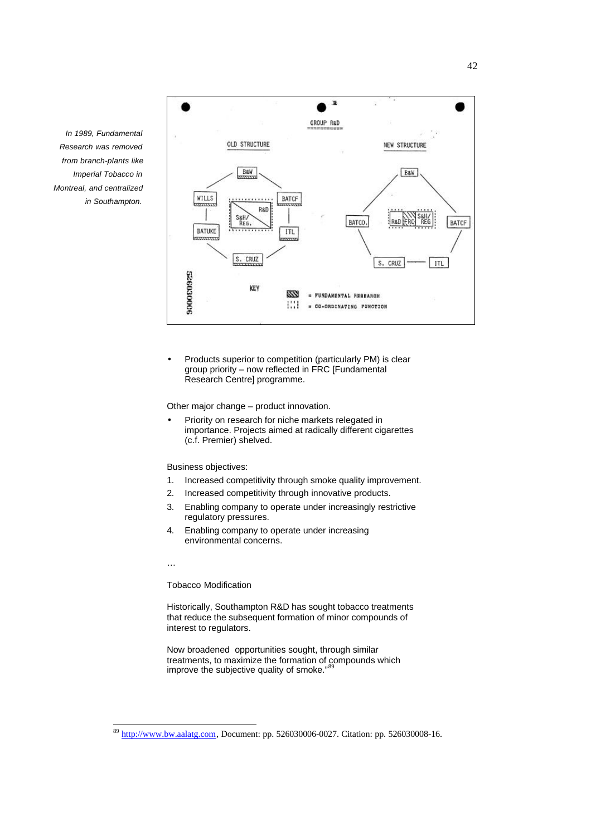

• Products superior to competition (particularly PM) is clear group priority – now reflected in FRC [Fundamental Research Centre] programme.

Other major change – product innovation.

• Priority on research for niche markets relegated in importance. Projects aimed at radically different cigarettes (c.f. Premier) shelved.

Business objectives:

- 1. Increased competitivity through smoke quality improvement.
- 2. Increased competitivity through innovative products.
- 3. Enabling company to operate under increasingly restrictive regulatory pressures.
- 4. Enabling company to operate under increasing environmental concerns.

…

l

Tobacco Modification

Historically, Southampton R&D has sought tobacco treatments that reduce the subsequent formation of minor compounds of interest to regulators.

Now broadened opportunities sought, through similar treatments, to maximize the formation of compounds which improve the subjective quality of smoke."

*In 1989, Fundamental Research was removed from branch-plants like Imperial Tobacco in Montreal, and centralized in Southampton.*

http://www.bw.aalatg.com, Document: pp. 526030006-0027. Citation: pp. 526030008-16.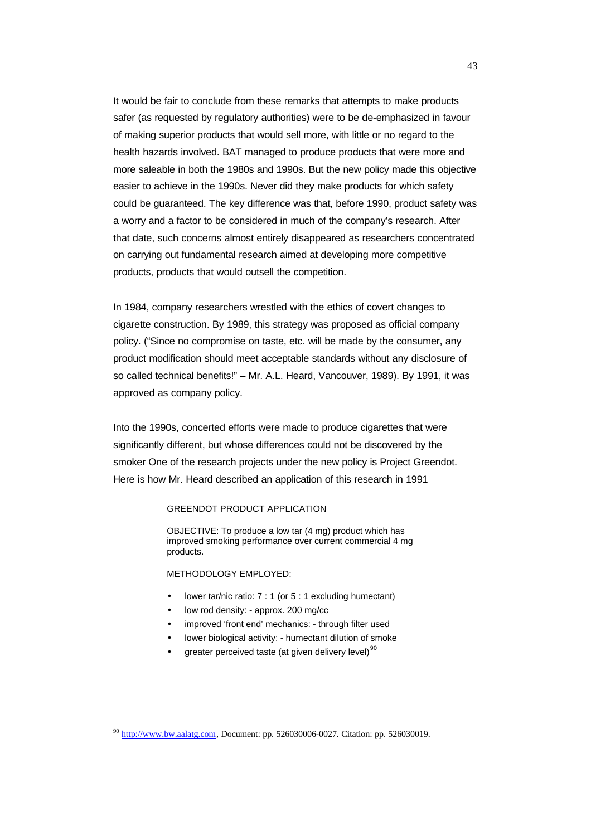It would be fair to conclude from these remarks that attempts to make products safer (as requested by regulatory authorities) were to be de-emphasized in favour of making superior products that would sell more, with little or no regard to the health hazards involved. BAT managed to produce products that were more and more saleable in both the 1980s and 1990s. But the new policy made this objective easier to achieve in the 1990s. Never did they make products for which safety could be guaranteed. The key difference was that, before 1990, product safety was a worry and a factor to be considered in much of the company's research. After that date, such concerns almost entirely disappeared as researchers concentrated on carrying out fundamental research aimed at developing more competitive products, products that would outsell the competition.

In 1984, company researchers wrestled with the ethics of covert changes to cigarette construction. By 1989, this strategy was proposed as official company policy. ("Since no compromise on taste, etc. will be made by the consumer, any product modification should meet acceptable standards without any disclosure of so called technical benefits!" – Mr. A.L. Heard, Vancouver, 1989). By 1991, it was approved as company policy.

Into the 1990s, concerted efforts were made to produce cigarettes that were significantly different, but whose differences could not be discovered by the smoker One of the research projects under the new policy is Project Greendot. Here is how Mr. Heard described an application of this research in 1991

## GREENDOT PRODUCT APPLICATION

OBJECTIVE: To produce a low tar (4 mg) product which has improved smoking performance over current commercial 4 mg products.

#### METHODOLOGY EMPLOYED:

- lower tar/nic ratio: 7 : 1 (or 5 : 1 excluding humectant)
- low rod density: approx. 200 mg/cc
- improved 'front end' mechanics: through filter used
- lower biological activity: humectant dilution of smoke
- greater perceived taste (at given delivery level) $90$

 $^{90}$  http://www.bw.aalatg.com, Document: pp. 526030006-0027. Citation: pp. 526030019.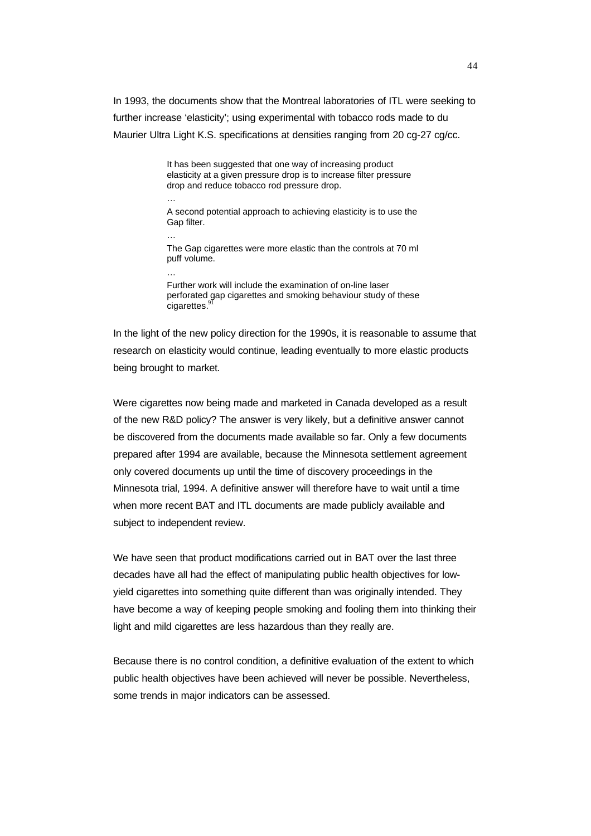In 1993, the documents show that the Montreal laboratories of ITL were seeking to further increase 'elasticity'; using experimental with tobacco rods made to du Maurier Ultra Light K.S. specifications at densities ranging from 20 cg-27 cg/cc.

> It has been suggested that one way of increasing product elasticity at a given pressure drop is to increase filter pressure drop and reduce tobacco rod pressure drop.

A second potential approach to achieving elasticity is to use the Gap filter.

…

…

The Gap cigarettes were more elastic than the controls at 70 ml puff volume.

…

Further work will include the examination of on-line laser perforated gap cigarettes and smoking behaviour study of these cigarettes.

In the light of the new policy direction for the 1990s, it is reasonable to assume that research on elasticity would continue, leading eventually to more elastic products being brought to market.

Were cigarettes now being made and marketed in Canada developed as a result of the new R&D policy? The answer is very likely, but a definitive answer cannot be discovered from the documents made available so far. Only a few documents prepared after 1994 are available, because the Minnesota settlement agreement only covered documents up until the time of discovery proceedings in the Minnesota trial, 1994. A definitive answer will therefore have to wait until a time when more recent BAT and ITL documents are made publicly available and subject to independent review.

We have seen that product modifications carried out in BAT over the last three decades have all had the effect of manipulating public health objectives for lowyield cigarettes into something quite different than was originally intended. They have become a way of keeping people smoking and fooling them into thinking their light and mild cigarettes are less hazardous than they really are.

Because there is no control condition, a definitive evaluation of the extent to which public health objectives have been achieved will never be possible. Nevertheless, some trends in major indicators can be assessed.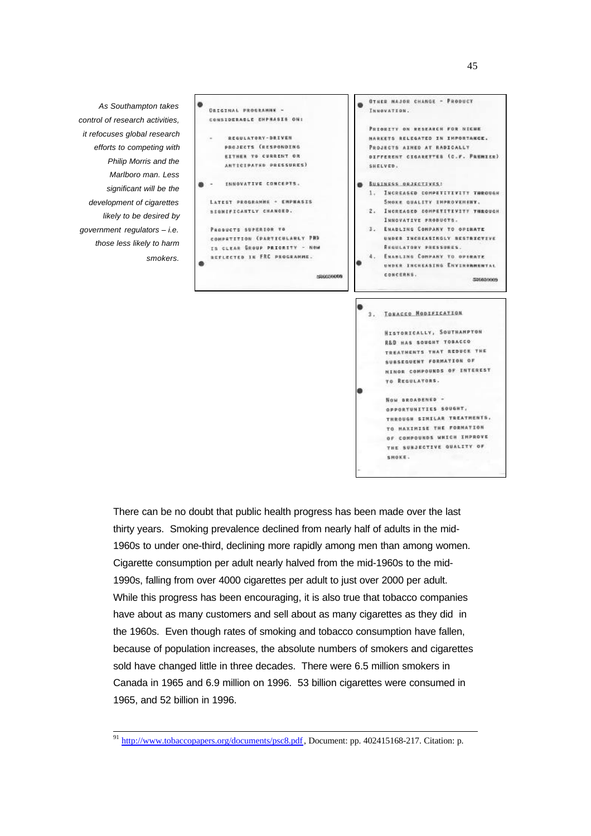*As Southampton takes control of research activities, it refocuses global research efforts to competing with Philip Morris and the Marlboro man. Less significant will be the development of cigarettes likely to be desired by government regulators – i.e. those less likely to harm smokers.*

l



There can be no doubt that public health progress has been made over the last thirty years. Smoking prevalence declined from nearly half of adults in the mid-1960s to under one-third, declining more rapidly among men than among women. Cigarette consumption per adult nearly halved from the mid-1960s to the mid-1990s, falling from over 4000 cigarettes per adult to just over 2000 per adult. While this progress has been encouraging, it is also true that tobacco companies have about as many customers and sell about as many cigarettes as they did in the 1960s. Even though rates of smoking and tobacco consumption have fallen, because of population increases, the absolute numbers of smokers and cigarettes sold have changed little in three decades. There were 6.5 million smokers in Canada in 1965 and 6.9 million on 1996. 53 billion cigarettes were consumed in 1965, and 52 billion in 1996.

<sup>&</sup>lt;sup>91</sup> http://www.tobaccopapers.org/documents/psc8.pdf, Document: pp. 402415168-217. Citation: p.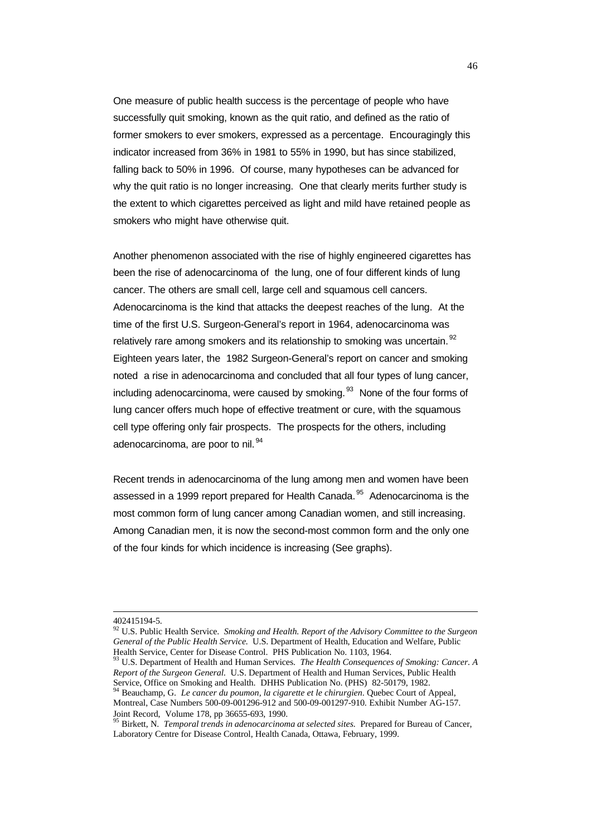One measure of public health success is the percentage of people who have successfully quit smoking, known as the quit ratio, and defined as the ratio of former smokers to ever smokers, expressed as a percentage. Encouragingly this indicator increased from 36% in 1981 to 55% in 1990, but has since stabilized, falling back to 50% in 1996. Of course, many hypotheses can be advanced for why the quit ratio is no longer increasing. One that clearly merits further study is the extent to which cigarettes perceived as light and mild have retained people as smokers who might have otherwise quit.

Another phenomenon associated with the rise of highly engineered cigarettes has been the rise of adenocarcinoma of the lung, one of four different kinds of lung cancer. The others are small cell, large cell and squamous cell cancers. Adenocarcinoma is the kind that attacks the deepest reaches of the lung. At the time of the first U.S. Surgeon-General's report in 1964, adenocarcinoma was relatively rare among smokers and its relationship to smoking was uncertain. <sup>92</sup> Eighteen years later, the 1982 Surgeon-General's report on cancer and smoking noted a rise in adenocarcinoma and concluded that all four types of lung cancer, including adenocarcinoma, were caused by smoking.  $93$  None of the four forms of lung cancer offers much hope of effective treatment or cure, with the squamous cell type offering only fair prospects. The prospects for the others, including adenocarcinoma, are poor to nil. <sup>94</sup>

Recent trends in adenocarcinoma of the lung among men and women have been assessed in a 1999 report prepared for Health Canada.<sup>95</sup> Adenocarcinoma is the most common form of lung cancer among Canadian women, and still increasing. Among Canadian men, it is now the second-most common form and the only one of the four kinds for which incidence is increasing (See graphs).

<sup>402415194-5.</sup>

<sup>92</sup> U.S. Public Health Service. *Smoking and Health. Report of the Advisory Committee to the Surgeon General of the Public Health Service.* U.S. Department of Health, Education and Welfare, Public Health Service, Center for Disease Control. PHS Publication No. 1103, 1964.

<sup>93</sup> U.S. Department of Health and Human Services. *The Health Consequences of Smoking: Cancer. A Report of the Surgeon General.* U.S. Department of Health and Human Services, Public Health Service, Office on Smoking and Health. DHHS Publication No. (PHS) 82-50179, 1982.

<sup>94</sup> Beauchamp, G. *Le cancer du poumon, la cigarette et le chirurgien*. Quebec Court of Appeal, Montreal, Case Numbers 500-09-001296-912 and 500-09-001297-910. Exhibit Number AG-157. Joint Record, Volume 178, pp 36655-693, 1990.

<sup>&</sup>lt;sup>95</sup> Birkett, N. *Temporal trends in adenocarcinoma at selected sites*. Prepared for Bureau of Cancer, Laboratory Centre for Disease Control, Health Canada, Ottawa, February, 1999.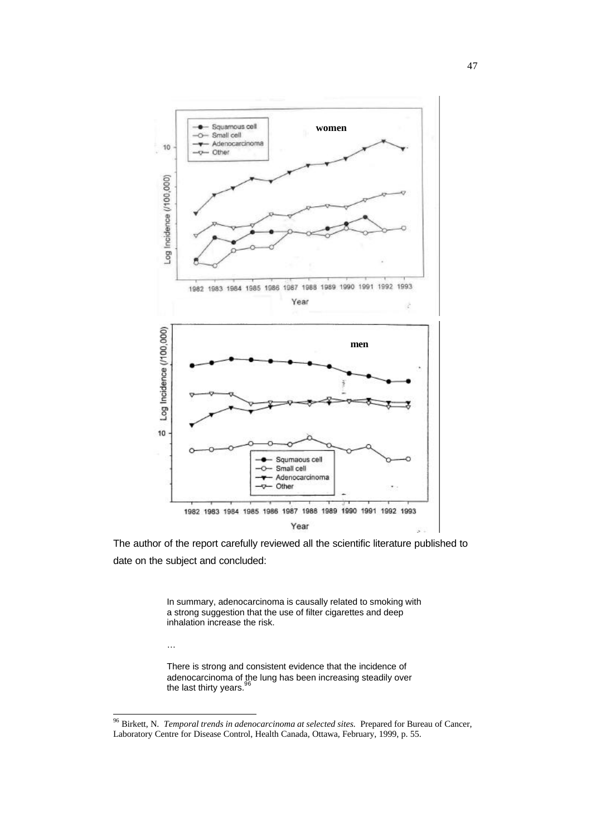

The author of the report carefully reviewed all the scientific literature published to date on the subject and concluded:

> In summary, adenocarcinoma is causally related to smoking with a strong suggestion that the use of filter cigarettes and deep inhalation increase the risk.

…

 $\overline{\phantom{a}}$ 

There is strong and consistent evidence that the incidence of adenocarcinoma of the lung has been increasing steadily over the last thirty years.

<sup>96</sup> Birkett, N. *Temporal trends in adenocarcinoma at selected sites.* Prepared for Bureau of Cancer, Laboratory Centre for Disease Control, Health Canada, Ottawa, February, 1999, p. 55.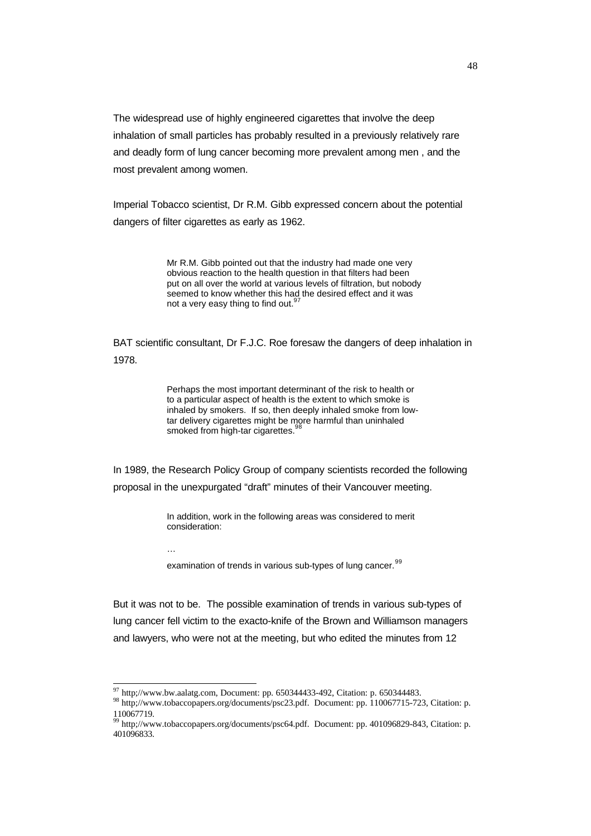The widespread use of highly engineered cigarettes that involve the deep inhalation of small particles has probably resulted in a previously relatively rare and deadly form of lung cancer becoming more prevalent among men , and the most prevalent among women.

Imperial Tobacco scientist, Dr R.M. Gibb expressed concern about the potential dangers of filter cigarettes as early as 1962.

> Mr R.M. Gibb pointed out that the industry had made one very obvious reaction to the health question in that filters had been put on all over the world at various levels of filtration, but nobody seemed to know whether this had the desired effect and it was not a very easy thing to find out.<sup>9</sup>

BAT scientific consultant, Dr F.J.C. Roe foresaw the dangers of deep inhalation in 1978.

> Perhaps the most important determinant of the risk to health or to a particular aspect of health is the extent to which smoke is inhaled by smokers. If so, then deeply inhaled smoke from lowtar delivery cigarettes might be more harmful than uninhaled smoked from high-tar cigarettes.<sup>9</sup>

In 1989, the Research Policy Group of company scientists recorded the following proposal in the unexpurgated "draft" minutes of their Vancouver meeting.

> In addition, work in the following areas was considered to merit consideration:

…

l

examination of trends in various sub-types of lung cancer.<sup>99</sup>

But it was not to be. The possible examination of trends in various sub-types of lung cancer fell victim to the exacto-knife of the Brown and Williamson managers and lawyers, who were not at the meeting, but who edited the minutes from 12

 $^{97}$  http;//www.bw.aalatg.com, Document: pp. 650344433-492, Citation: p. 650344483.

<sup>98</sup> http;//www.tobaccopapers.org/documents/psc23.pdf. Document: pp. 110067715-723, Citation: p. 110067719.

<sup>99</sup> http://www.tobaccopapers.org/documents/psc64.pdf. Document: pp. 401096829-843, Citation: p. 401096833.